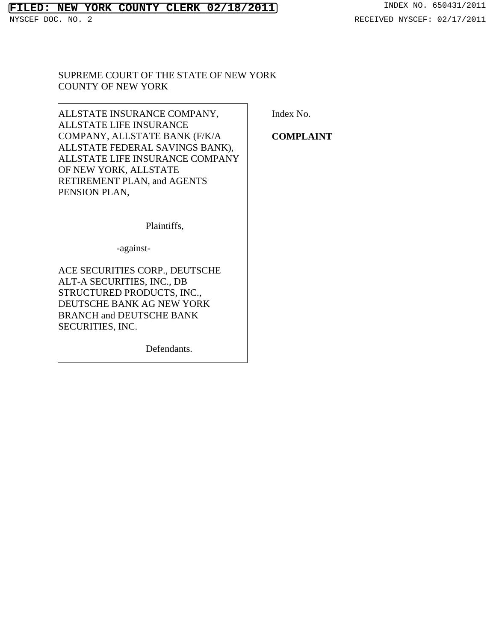# **FILED: NEW YORK COUNTY CLERK 02/18/2011** INDEX NO. 650431/2011<br>NYSCEF DOC. NO. 2 RECEIVED NYSCEF: 02/17/2011

# SUPREME COURT OF THE STATE OF NEW YORK COUNTY OF NEW YORK

ALLSTATE INSURANCE COMPANY, ALLSTATE LIFE INSURANCE COMPANY, ALLSTATE BANK (F/K/A ALLSTATE FEDERAL SAVINGS BANK), ALLSTATE LIFE INSURANCE COMPANY OF NEW YORK, ALLSTATE RETIREMENT PLAN, and AGENTS PENSION PLAN,

Index No.

**COMPLAINT** 

Plaintiffs,

-against-

ACE SECURITIES CORP., DEUTSCHE ALT-A SECURITIES, INC., DB STRUCTURED PRODUCTS, INC., DEUTSCHE BANK AG NEW YORK BRANCH and DEUTSCHE BANK SECURITIES, INC.

Defendants.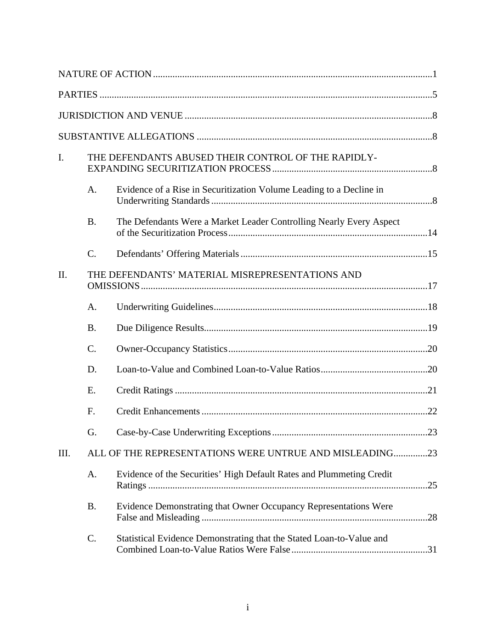| I.   |                                                 | THE DEFENDANTS ABUSED THEIR CONTROL OF THE RAPIDLY-                  |     |
|------|-------------------------------------------------|----------------------------------------------------------------------|-----|
|      | A.                                              | Evidence of a Rise in Securitization Volume Leading to a Decline in  |     |
|      | <b>B.</b>                                       | The Defendants Were a Market Leader Controlling Nearly Every Aspect  |     |
|      | $\mathcal{C}$ .                                 |                                                                      |     |
| II.  | THE DEFENDANTS' MATERIAL MISREPRESENTATIONS AND |                                                                      |     |
|      | $A_{\cdot}$                                     |                                                                      |     |
|      | <b>B.</b>                                       |                                                                      |     |
|      | $\mathcal{C}$ .                                 |                                                                      |     |
|      | D.                                              |                                                                      |     |
|      | E.                                              |                                                                      |     |
|      | F.                                              |                                                                      |     |
|      | G.                                              |                                                                      |     |
| III. |                                                 | ALL OF THE REPRESENTATIONS WERE UNTRUE AND MISLEADING23              |     |
|      | A.                                              | Evidence of the Securities' High Default Rates and Plummeting Credit |     |
|      | <b>B.</b>                                       | Evidence Demonstrating that Owner Occupancy Representations Were     | .28 |
|      | $C$ .                                           | Statistical Evidence Demonstrating that the Stated Loan-to-Value and |     |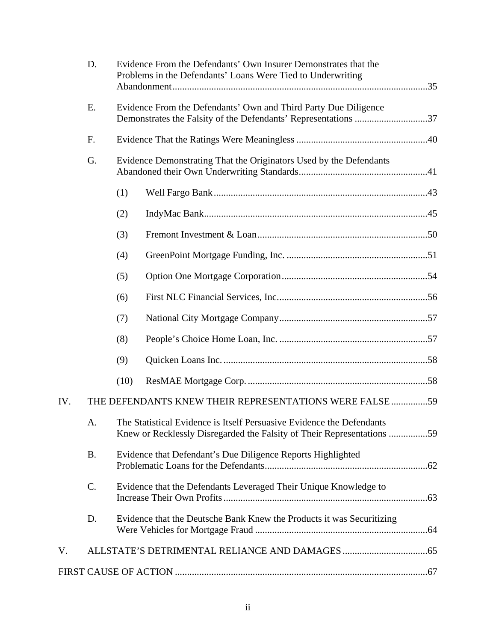|     | D.        | Evidence From the Defendants' Own Insurer Demonstrates that the<br>Problems in the Defendants' Loans Were Tied to Underwriting |                                                                                                                                                 |  |
|-----|-----------|--------------------------------------------------------------------------------------------------------------------------------|-------------------------------------------------------------------------------------------------------------------------------------------------|--|
|     | E.        |                                                                                                                                | Evidence From the Defendants' Own and Third Party Due Diligence<br>Demonstrates the Falsity of the Defendants' Representations 37               |  |
|     | F.        |                                                                                                                                |                                                                                                                                                 |  |
|     | G.        |                                                                                                                                | Evidence Demonstrating That the Originators Used by the Defendants                                                                              |  |
|     |           | (1)                                                                                                                            |                                                                                                                                                 |  |
|     |           | (2)                                                                                                                            |                                                                                                                                                 |  |
|     |           | (3)                                                                                                                            |                                                                                                                                                 |  |
|     |           | (4)                                                                                                                            |                                                                                                                                                 |  |
|     |           | (5)                                                                                                                            |                                                                                                                                                 |  |
|     |           | (6)                                                                                                                            |                                                                                                                                                 |  |
|     |           | (7)                                                                                                                            |                                                                                                                                                 |  |
|     |           | (8)                                                                                                                            |                                                                                                                                                 |  |
|     |           | (9)                                                                                                                            |                                                                                                                                                 |  |
|     |           | (10)                                                                                                                           |                                                                                                                                                 |  |
| IV. |           |                                                                                                                                | THE DEFENDANTS KNEW THEIR REPRESENTATIONS WERE FALSE 59                                                                                         |  |
|     | A.        |                                                                                                                                | The Statistical Evidence is Itself Persuasive Evidence the Defendants<br>Knew or Recklessly Disregarded the Falsity of Their Representations 59 |  |
|     | <b>B.</b> |                                                                                                                                | Evidence that Defendant's Due Diligence Reports Highlighted                                                                                     |  |
|     | C.        |                                                                                                                                | Evidence that the Defendants Leveraged Their Unique Knowledge to                                                                                |  |
|     | D.        |                                                                                                                                | Evidence that the Deutsche Bank Knew the Products it was Securitizing                                                                           |  |
| V.  |           |                                                                                                                                |                                                                                                                                                 |  |
|     |           |                                                                                                                                |                                                                                                                                                 |  |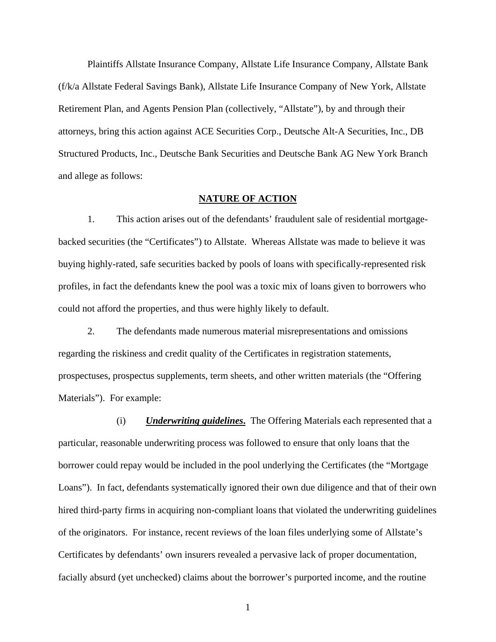Plaintiffs Allstate Insurance Company, Allstate Life Insurance Company, Allstate Bank (f/k/a Allstate Federal Savings Bank), Allstate Life Insurance Company of New York, Allstate Retirement Plan, and Agents Pension Plan (collectively, "Allstate"), by and through their attorneys, bring this action against ACE Securities Corp., Deutsche Alt-A Securities, Inc., DB Structured Products, Inc., Deutsche Bank Securities and Deutsche Bank AG New York Branch and allege as follows:

#### **NATURE OF ACTION**

1. This action arises out of the defendants' fraudulent sale of residential mortgagebacked securities (the "Certificates") to Allstate. Whereas Allstate was made to believe it was buying highly-rated, safe securities backed by pools of loans with specifically-represented risk profiles, in fact the defendants knew the pool was a toxic mix of loans given to borrowers who could not afford the properties, and thus were highly likely to default.

2. The defendants made numerous material misrepresentations and omissions regarding the riskiness and credit quality of the Certificates in registration statements, prospectuses, prospectus supplements, term sheets, and other written materials (the "Offering Materials"). For example:

(i) *Underwriting guidelines***.** The Offering Materials each represented that a particular, reasonable underwriting process was followed to ensure that only loans that the borrower could repay would be included in the pool underlying the Certificates (the "Mortgage Loans"). In fact, defendants systematically ignored their own due diligence and that of their own hired third-party firms in acquiring non-compliant loans that violated the underwriting guidelines of the originators. For instance, recent reviews of the loan files underlying some of Allstate's Certificates by defendants' own insurers revealed a pervasive lack of proper documentation, facially absurd (yet unchecked) claims about the borrower's purported income, and the routine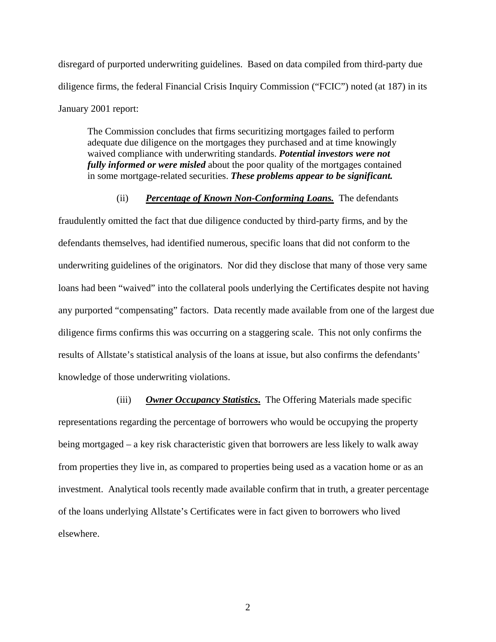disregard of purported underwriting guidelines. Based on data compiled from third-party due diligence firms, the federal Financial Crisis Inquiry Commission ("FCIC") noted (at 187) in its January 2001 report:

The Commission concludes that firms securitizing mortgages failed to perform adequate due diligence on the mortgages they purchased and at time knowingly waived compliance with underwriting standards. *Potential investors were not fully informed or were misled* about the poor quality of the mortgages contained in some mortgage-related securities. *These problems appear to be significant.* 

## (ii) *Percentage of Known Non-Conforming Loans.* The defendants

fraudulently omitted the fact that due diligence conducted by third-party firms, and by the defendants themselves, had identified numerous, specific loans that did not conform to the underwriting guidelines of the originators. Nor did they disclose that many of those very same loans had been "waived" into the collateral pools underlying the Certificates despite not having any purported "compensating" factors. Data recently made available from one of the largest due diligence firms confirms this was occurring on a staggering scale. This not only confirms the results of Allstate's statistical analysis of the loans at issue, but also confirms the defendants' knowledge of those underwriting violations.

(iii) *Owner Occupancy Statistics***.** The Offering Materials made specific representations regarding the percentage of borrowers who would be occupying the property being mortgaged – a key risk characteristic given that borrowers are less likely to walk away from properties they live in, as compared to properties being used as a vacation home or as an investment. Analytical tools recently made available confirm that in truth, a greater percentage of the loans underlying Allstate's Certificates were in fact given to borrowers who lived elsewhere.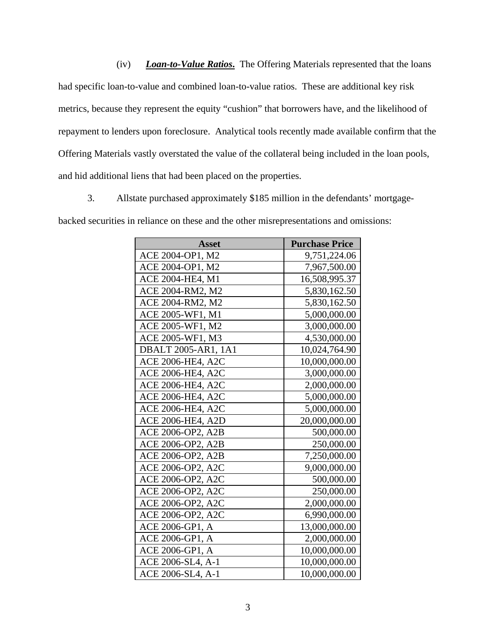(iv) *Loan-to-Value Ratios***.** The Offering Materials represented that the loans had specific loan-to-value and combined loan-to-value ratios. These are additional key risk metrics, because they represent the equity "cushion" that borrowers have, and the likelihood of repayment to lenders upon foreclosure. Analytical tools recently made available confirm that the Offering Materials vastly overstated the value of the collateral being included in the loan pools, and hid additional liens that had been placed on the properties.

3. Allstate purchased approximately \$185 million in the defendants' mortgagebacked securities in reliance on these and the other misrepresentations and omissions:

| <b>Asset</b>        | <b>Purchase Price</b> |
|---------------------|-----------------------|
| ACE 2004-OP1, M2    | 9,751,224.06          |
| ACE 2004-OP1, M2    | 7,967,500.00          |
| ACE 2004-HE4, M1    | 16,508,995.37         |
| ACE 2004-RM2, M2    | 5,830,162.50          |
| ACE 2004-RM2, M2    | 5,830,162.50          |
| ACE 2005-WF1, M1    | 5,000,000.00          |
| ACE 2005-WF1, M2    | 3,000,000.00          |
| ACE 2005-WF1, M3    | 4,530,000.00          |
| DBALT 2005-AR1, 1A1 | 10,024,764.90         |
| ACE 2006-HE4, A2C   | 10,000,000.00         |
| ACE 2006-HE4, A2C   | 3,000,000.00          |
| ACE 2006-HE4, A2C   | 2,000,000.00          |
| ACE 2006-HE4, A2C   | 5,000,000.00          |
| ACE 2006-HE4, A2C   | 5,000,000.00          |
| ACE 2006-HE4, A2D   | 20,000,000.00         |
| ACE 2006-OP2, A2B   | 500,000.00            |
| ACE 2006-OP2, A2B   | 250,000.00            |
| ACE 2006-OP2, A2B   | 7,250,000.00          |
| ACE 2006-OP2, A2C   | 9,000,000.00          |
| ACE 2006-OP2, A2C   | 500,000.00            |
| ACE 2006-OP2, A2C   | 250,000.00            |
| ACE 2006-OP2, A2C   | 2,000,000.00          |
| ACE 2006-OP2, A2C   | 6,990,000.00          |
| ACE 2006-GP1, A     | 13,000,000.00         |
| ACE 2006-GP1, A     | 2,000,000.00          |
| ACE 2006-GP1, A     | 10,000,000.00         |
| ACE 2006-SL4, A-1   | 10,000,000.00         |
| ACE 2006-SL4, A-1   | 10,000,000.00         |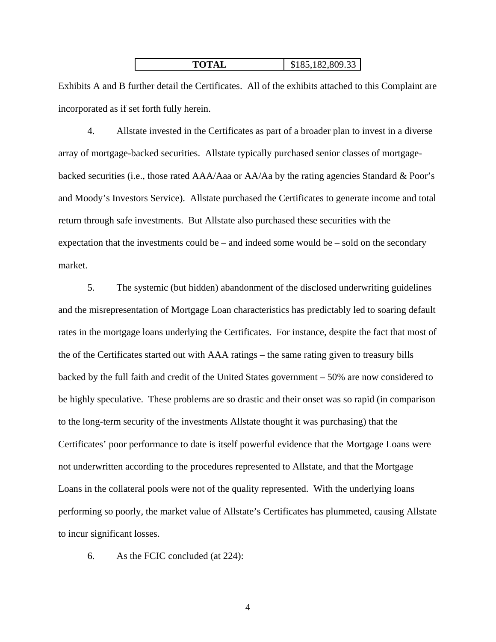| <b>TOTAL</b> | $\mid$ \$185,182,809.33 |
|--------------|-------------------------|
|--------------|-------------------------|

Exhibits A and B further detail the Certificates. All of the exhibits attached to this Complaint are incorporated as if set forth fully herein.

4. Allstate invested in the Certificates as part of a broader plan to invest in a diverse array of mortgage-backed securities. Allstate typically purchased senior classes of mortgagebacked securities (i.e., those rated AAA/Aaa or AA/Aa by the rating agencies Standard & Poor's and Moody's Investors Service). Allstate purchased the Certificates to generate income and total return through safe investments. But Allstate also purchased these securities with the expectation that the investments could be – and indeed some would be – sold on the secondary market.

5. The systemic (but hidden) abandonment of the disclosed underwriting guidelines and the misrepresentation of Mortgage Loan characteristics has predictably led to soaring default rates in the mortgage loans underlying the Certificates. For instance, despite the fact that most of the of the Certificates started out with AAA ratings – the same rating given to treasury bills backed by the full faith and credit of the United States government – 50% are now considered to be highly speculative. These problems are so drastic and their onset was so rapid (in comparison to the long-term security of the investments Allstate thought it was purchasing) that the Certificates' poor performance to date is itself powerful evidence that the Mortgage Loans were not underwritten according to the procedures represented to Allstate, and that the Mortgage Loans in the collateral pools were not of the quality represented. With the underlying loans performing so poorly, the market value of Allstate's Certificates has plummeted, causing Allstate to incur significant losses.

6. As the FCIC concluded (at 224):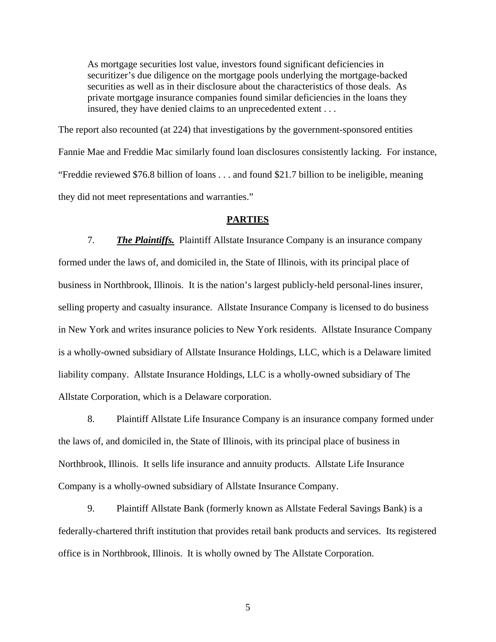As mortgage securities lost value, investors found significant deficiencies in securitizer's due diligence on the mortgage pools underlying the mortgage-backed securities as well as in their disclosure about the characteristics of those deals. As private mortgage insurance companies found similar deficiencies in the loans they insured, they have denied claims to an unprecedented extent . . .

The report also recounted (at 224) that investigations by the government-sponsored entities Fannie Mae and Freddie Mac similarly found loan disclosures consistently lacking. For instance, "Freddie reviewed \$76.8 billion of loans . . . and found \$21.7 billion to be ineligible, meaning they did not meet representations and warranties."

#### **PARTIES**

7. *The Plaintiffs.*Plaintiff Allstate Insurance Company is an insurance company formed under the laws of, and domiciled in, the State of Illinois, with its principal place of business in Northbrook, Illinois. It is the nation's largest publicly-held personal-lines insurer, selling property and casualty insurance. Allstate Insurance Company is licensed to do business in New York and writes insurance policies to New York residents. Allstate Insurance Company is a wholly-owned subsidiary of Allstate Insurance Holdings, LLC, which is a Delaware limited liability company. Allstate Insurance Holdings, LLC is a wholly-owned subsidiary of The Allstate Corporation, which is a Delaware corporation.

8. Plaintiff Allstate Life Insurance Company is an insurance company formed under the laws of, and domiciled in, the State of Illinois, with its principal place of business in Northbrook, Illinois. It sells life insurance and annuity products. Allstate Life Insurance Company is a wholly-owned subsidiary of Allstate Insurance Company.

9. Plaintiff Allstate Bank (formerly known as Allstate Federal Savings Bank) is a federally-chartered thrift institution that provides retail bank products and services. Its registered office is in Northbrook, Illinois. It is wholly owned by The Allstate Corporation.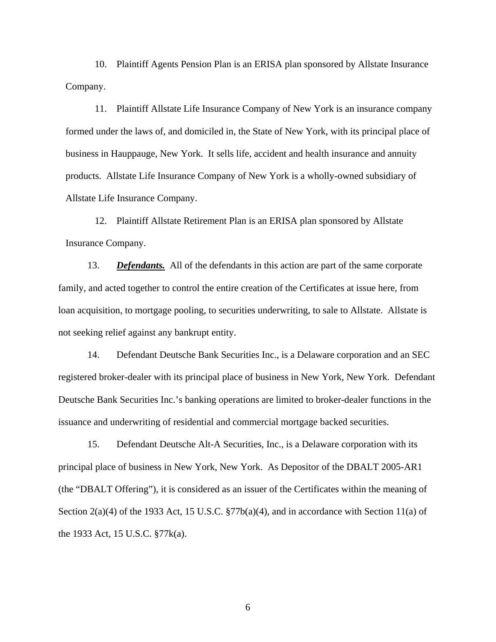10. Plaintiff Agents Pension Plan is an ERISA plan sponsored by Allstate Insurance Company.

11. Plaintiff Allstate Life Insurance Company of New York is an insurance company formed under the laws of, and domiciled in, the State of New York, with its principal place of business in Hauppauge, New York. It sells life, accident and health insurance and annuity products. Allstate Life Insurance Company of New York is a wholly-owned subsidiary of Allstate Life Insurance Company.

12. Plaintiff Allstate Retirement Plan is an ERISA plan sponsored by Allstate Insurance Company.

13. *Defendants.* All of the defendants in this action are part of the same corporate family, and acted together to control the entire creation of the Certificates at issue here, from loan acquisition, to mortgage pooling, to securities underwriting, to sale to Allstate. Allstate is not seeking relief against any bankrupt entity.

14. Defendant Deutsche Bank Securities Inc., is a Delaware corporation and an SEC registered broker-dealer with its principal place of business in New York, New York. Defendant Deutsche Bank Securities Inc.'s banking operations are limited to broker-dealer functions in the issuance and underwriting of residential and commercial mortgage backed securities.

15. Defendant Deutsche Alt-A Securities, Inc., is a Delaware corporation with its principal place of business in New York, New York. As Depositor of the DBALT 2005-AR1 (the "DBALT Offering"), it is considered as an issuer of the Certificates within the meaning of Section  $2(a)(4)$  of the 1933 Act, 15 U.S.C.  $\frac{877b(a)(4)}{a}$ , and in accordance with Section 11(a) of the 1933 Act, 15 U.S.C. §77k(a).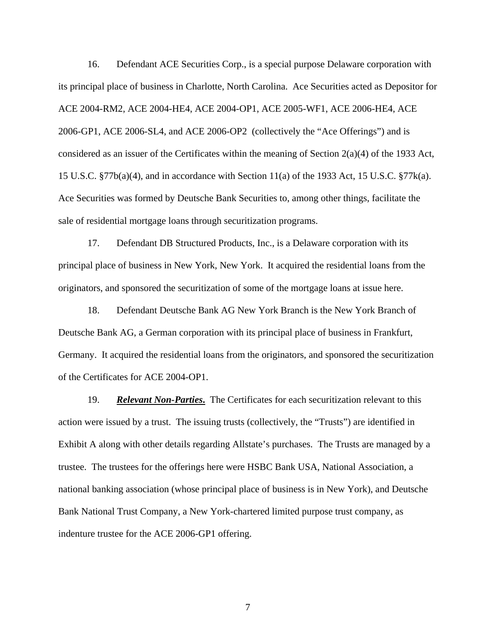16. Defendant ACE Securities Corp., is a special purpose Delaware corporation with its principal place of business in Charlotte, North Carolina. Ace Securities acted as Depositor for ACE 2004-RM2, ACE 2004-HE4, ACE 2004-OP1, ACE 2005-WF1, ACE 2006-HE4, ACE 2006-GP1, ACE 2006-SL4, and ACE 2006-OP2 (collectively the "Ace Offerings") and is considered as an issuer of the Certificates within the meaning of Section  $2(a)(4)$  of the 1933 Act, 15 U.S.C. §77b(a)(4), and in accordance with Section 11(a) of the 1933 Act, 15 U.S.C. §77k(a). Ace Securities was formed by Deutsche Bank Securities to, among other things, facilitate the sale of residential mortgage loans through securitization programs.

17. Defendant DB Structured Products, Inc., is a Delaware corporation with its principal place of business in New York, New York. It acquired the residential loans from the originators, and sponsored the securitization of some of the mortgage loans at issue here.

18. Defendant Deutsche Bank AG New York Branch is the New York Branch of Deutsche Bank AG, a German corporation with its principal place of business in Frankfurt, Germany. It acquired the residential loans from the originators, and sponsored the securitization of the Certificates for ACE 2004-OP1.

19. *Relevant Non-Parties***.** The Certificates for each securitization relevant to this action were issued by a trust. The issuing trusts (collectively, the "Trusts") are identified in Exhibit A along with other details regarding Allstate's purchases. The Trusts are managed by a trustee. The trustees for the offerings here were HSBC Bank USA, National Association, a national banking association (whose principal place of business is in New York), and Deutsche Bank National Trust Company, a New York-chartered limited purpose trust company, as indenture trustee for the ACE 2006-GP1 offering.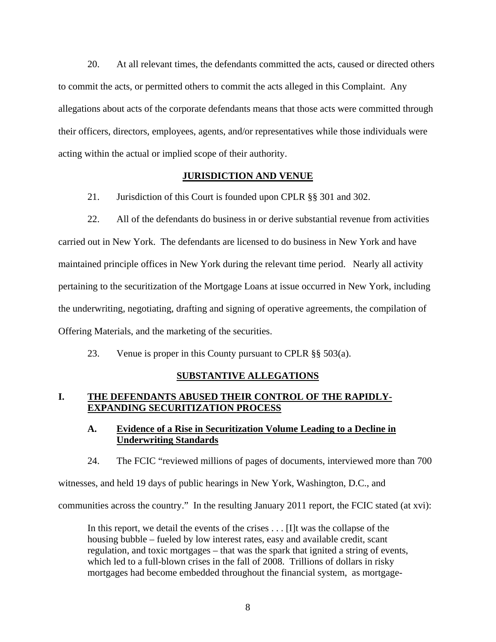20. At all relevant times, the defendants committed the acts, caused or directed others to commit the acts, or permitted others to commit the acts alleged in this Complaint. Any allegations about acts of the corporate defendants means that those acts were committed through their officers, directors, employees, agents, and/or representatives while those individuals were acting within the actual or implied scope of their authority.

### **JURISDICTION AND VENUE**

21. Jurisdiction of this Court is founded upon CPLR §§ 301 and 302.

22. All of the defendants do business in or derive substantial revenue from activities carried out in New York. The defendants are licensed to do business in New York and have maintained principle offices in New York during the relevant time period. Nearly all activity pertaining to the securitization of the Mortgage Loans at issue occurred in New York, including the underwriting, negotiating, drafting and signing of operative agreements, the compilation of Offering Materials, and the marketing of the securities.

23. Venue is proper in this County pursuant to CPLR §§ 503(a).

# **SUBSTANTIVE ALLEGATIONS**

## **I. THE DEFENDANTS ABUSED THEIR CONTROL OF THE RAPIDLY-EXPANDING SECURITIZATION PROCESS**

## **A. Evidence of a Rise in Securitization Volume Leading to a Decline in Underwriting Standards**

24. The FCIC "reviewed millions of pages of documents, interviewed more than 700

witnesses, and held 19 days of public hearings in New York, Washington, D.C., and communities across the country." In the resulting January 2011 report, the FCIC stated (at xvi):

In this report, we detail the events of the crises . . . [I]t was the collapse of the housing bubble – fueled by low interest rates, easy and available credit, scant regulation, and toxic mortgages – that was the spark that ignited a string of events, which led to a full-blown crises in the fall of 2008. Trillions of dollars in risky mortgages had become embedded throughout the financial system, as mortgage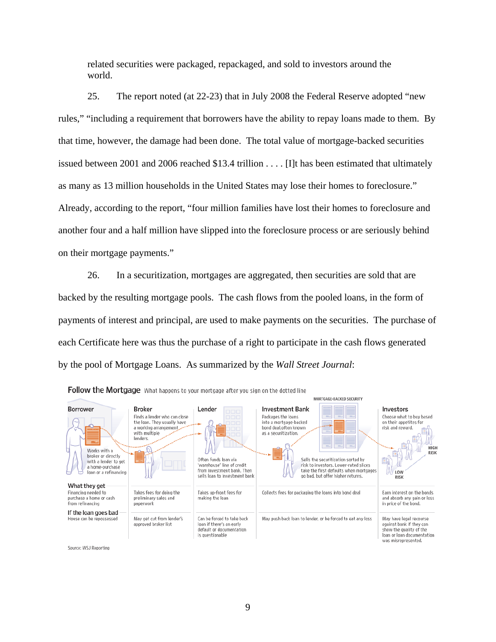related securities were packaged, repackaged, and sold to investors around the world.

25. The report noted (at 22-23) that in July 2008 the Federal Reserve adopted "new rules," "including a requirement that borrowers have the ability to repay loans made to them. By that time, however, the damage had been done. The total value of mortgage-backed securities issued between 2001 and 2006 reached \$13.4 trillion . . . . [I]t has been estimated that ultimately as many as 13 million households in the United States may lose their homes to foreclosure." Already, according to the report, "four million families have lost their homes to foreclosure and another four and a half million have slipped into the foreclosure process or are seriously behind on their mortgage payments."

26. In a securitization, mortgages are aggregated, then securities are sold that are backed by the resulting mortgage pools. The cash flows from the pooled loans, in the form of payments of interest and principal, are used to make payments on the securities. The purchase of each Certificate here was thus the purchase of a right to participate in the cash flows generated by the pool of Mortgage Loans. As summarized by the *Wall Street Journal*:

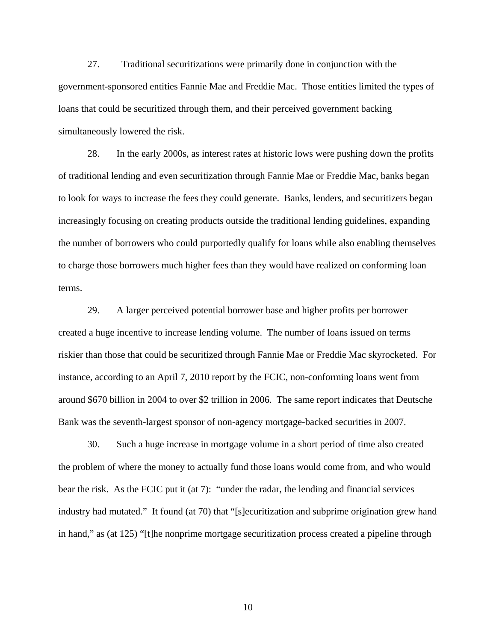27. Traditional securitizations were primarily done in conjunction with the government-sponsored entities Fannie Mae and Freddie Mac. Those entities limited the types of loans that could be securitized through them, and their perceived government backing simultaneously lowered the risk.

28. In the early 2000s, as interest rates at historic lows were pushing down the profits of traditional lending and even securitization through Fannie Mae or Freddie Mac, banks began to look for ways to increase the fees they could generate. Banks, lenders, and securitizers began increasingly focusing on creating products outside the traditional lending guidelines, expanding the number of borrowers who could purportedly qualify for loans while also enabling themselves to charge those borrowers much higher fees than they would have realized on conforming loan terms.

29. A larger perceived potential borrower base and higher profits per borrower created a huge incentive to increase lending volume. The number of loans issued on terms riskier than those that could be securitized through Fannie Mae or Freddie Mac skyrocketed. For instance, according to an April 7, 2010 report by the FCIC, non-conforming loans went from around \$670 billion in 2004 to over \$2 trillion in 2006. The same report indicates that Deutsche Bank was the seventh-largest sponsor of non-agency mortgage-backed securities in 2007.

30. Such a huge increase in mortgage volume in a short period of time also created the problem of where the money to actually fund those loans would come from, and who would bear the risk. As the FCIC put it (at 7): "under the radar, the lending and financial services industry had mutated." It found (at 70) that "[s]ecuritization and subprime origination grew hand in hand," as (at 125) "[t]he nonprime mortgage securitization process created a pipeline through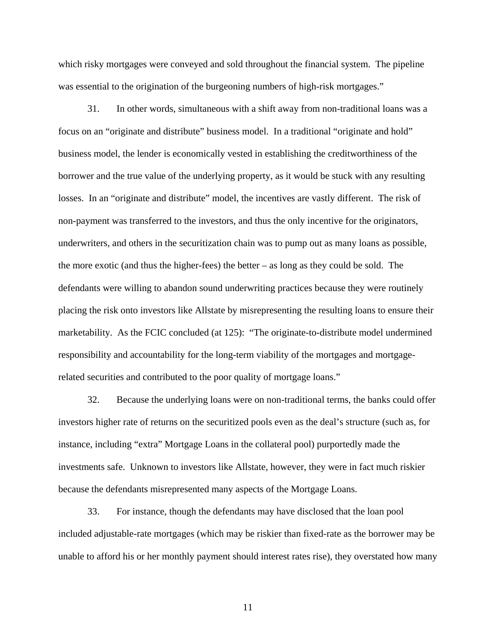which risky mortgages were conveyed and sold throughout the financial system. The pipeline was essential to the origination of the burgeoning numbers of high-risk mortgages."

31. In other words, simultaneous with a shift away from non-traditional loans was a focus on an "originate and distribute" business model. In a traditional "originate and hold" business model, the lender is economically vested in establishing the creditworthiness of the borrower and the true value of the underlying property, as it would be stuck with any resulting losses. In an "originate and distribute" model, the incentives are vastly different. The risk of non-payment was transferred to the investors, and thus the only incentive for the originators, underwriters, and others in the securitization chain was to pump out as many loans as possible, the more exotic (and thus the higher-fees) the better – as long as they could be sold. The defendants were willing to abandon sound underwriting practices because they were routinely placing the risk onto investors like Allstate by misrepresenting the resulting loans to ensure their marketability. As the FCIC concluded (at 125): "The originate-to-distribute model undermined responsibility and accountability for the long-term viability of the mortgages and mortgagerelated securities and contributed to the poor quality of mortgage loans."

32. Because the underlying loans were on non-traditional terms, the banks could offer investors higher rate of returns on the securitized pools even as the deal's structure (such as, for instance, including "extra" Mortgage Loans in the collateral pool) purportedly made the investments safe. Unknown to investors like Allstate, however, they were in fact much riskier because the defendants misrepresented many aspects of the Mortgage Loans.

33. For instance, though the defendants may have disclosed that the loan pool included adjustable-rate mortgages (which may be riskier than fixed-rate as the borrower may be unable to afford his or her monthly payment should interest rates rise), they overstated how many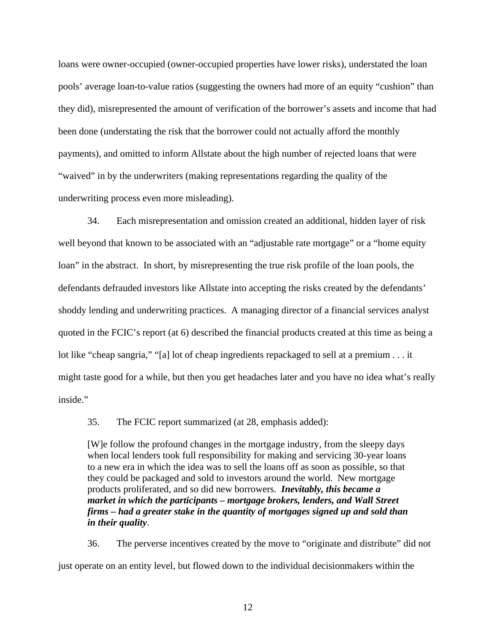loans were owner-occupied (owner-occupied properties have lower risks), understated the loan pools' average loan-to-value ratios (suggesting the owners had more of an equity "cushion" than they did), misrepresented the amount of verification of the borrower's assets and income that had been done (understating the risk that the borrower could not actually afford the monthly payments), and omitted to inform Allstate about the high number of rejected loans that were "waived" in by the underwriters (making representations regarding the quality of the underwriting process even more misleading).

34. Each misrepresentation and omission created an additional, hidden layer of risk well beyond that known to be associated with an "adjustable rate mortgage" or a "home equity loan" in the abstract. In short, by misrepresenting the true risk profile of the loan pools, the defendants defrauded investors like Allstate into accepting the risks created by the defendants' shoddy lending and underwriting practices. A managing director of a financial services analyst quoted in the FCIC's report (at 6) described the financial products created at this time as being a lot like "cheap sangria," "[a] lot of cheap ingredients repackaged to sell at a premium . . . it might taste good for a while, but then you get headaches later and you have no idea what's really inside."

35. The FCIC report summarized (at 28, emphasis added):

[W]e follow the profound changes in the mortgage industry, from the sleepy days when local lenders took full responsibility for making and servicing 30-year loans to a new era in which the idea was to sell the loans off as soon as possible, so that they could be packaged and sold to investors around the world. New mortgage products proliferated, and so did new borrowers. *Inevitably, this became a market in which the participants – mortgage brokers, lenders, and Wall Street firms – had a greater stake in the quantity of mortgages signed up and sold than in their quality*.

36. The perverse incentives created by the move to "originate and distribute" did not just operate on an entity level, but flowed down to the individual decisionmakers within the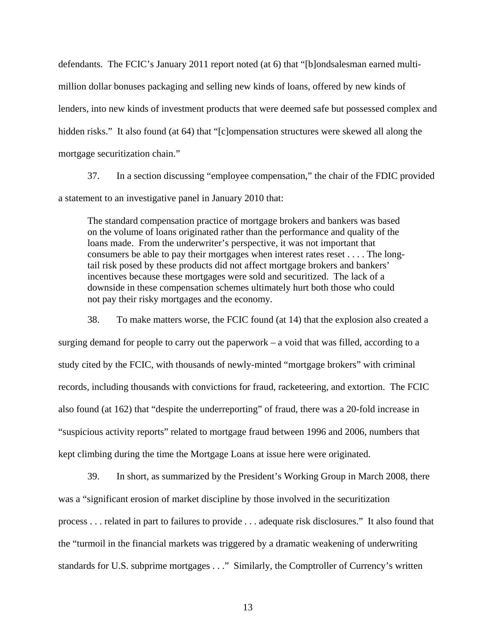defendants. The FCIC's January 2011 report noted (at 6) that "[b]ondsalesman earned multimillion dollar bonuses packaging and selling new kinds of loans, offered by new kinds of lenders, into new kinds of investment products that were deemed safe but possessed complex and hidden risks." It also found (at 64) that "[c]ompensation structures were skewed all along the mortgage securitization chain."

37. In a section discussing "employee compensation," the chair of the FDIC provided a statement to an investigative panel in January 2010 that:

The standard compensation practice of mortgage brokers and bankers was based on the volume of loans originated rather than the performance and quality of the loans made. From the underwriter's perspective, it was not important that consumers be able to pay their mortgages when interest rates reset . . . . The longtail risk posed by these products did not affect mortgage brokers and bankers' incentives because these mortgages were sold and securitized. The lack of a downside in these compensation schemes ultimately hurt both those who could not pay their risky mortgages and the economy.

38. To make matters worse, the FCIC found (at 14) that the explosion also created a surging demand for people to carry out the paperwork – a void that was filled, according to a study cited by the FCIC, with thousands of newly-minted "mortgage brokers" with criminal records, including thousands with convictions for fraud, racketeering, and extortion. The FCIC also found (at 162) that "despite the underreporting" of fraud, there was a 20-fold increase in "suspicious activity reports" related to mortgage fraud between 1996 and 2006, numbers that kept climbing during the time the Mortgage Loans at issue here were originated.

39. In short, as summarized by the President's Working Group in March 2008, there was a "significant erosion of market discipline by those involved in the securitization process . . . related in part to failures to provide . . . adequate risk disclosures." It also found that the "turmoil in the financial markets was triggered by a dramatic weakening of underwriting standards for U.S. subprime mortgages . . ." Similarly, the Comptroller of Currency's written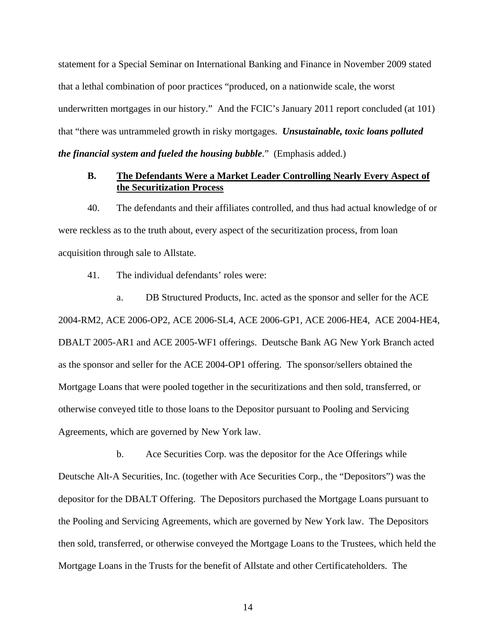statement for a Special Seminar on International Banking and Finance in November 2009 stated that a lethal combination of poor practices "produced, on a nationwide scale, the worst underwritten mortgages in our history." And the FCIC's January 2011 report concluded (at 101) that "there was untrammeled growth in risky mortgages. *Unsustainable, toxic loans polluted the financial system and fueled the housing bubble*." (Emphasis added.)

## **B. The Defendants Were a Market Leader Controlling Nearly Every Aspect of the Securitization Process**

40. The defendants and their affiliates controlled, and thus had actual knowledge of or were reckless as to the truth about, every aspect of the securitization process, from loan acquisition through sale to Allstate.

41. The individual defendants' roles were:

 a. DB Structured Products, Inc. acted as the sponsor and seller for the ACE 2004-RM2, ACE 2006-OP2, ACE 2006-SL4, ACE 2006-GP1, ACE 2006-HE4, ACE 2004-HE4, DBALT 2005-AR1 and ACE 2005-WF1 offerings. Deutsche Bank AG New York Branch acted as the sponsor and seller for the ACE 2004-OP1 offering. The sponsor/sellers obtained the Mortgage Loans that were pooled together in the securitizations and then sold, transferred, or otherwise conveyed title to those loans to the Depositor pursuant to Pooling and Servicing Agreements, which are governed by New York law.

 b. Ace Securities Corp. was the depositor for the Ace Offerings while Deutsche Alt-A Securities, Inc. (together with Ace Securities Corp., the "Depositors") was the depositor for the DBALT Offering. The Depositors purchased the Mortgage Loans pursuant to the Pooling and Servicing Agreements, which are governed by New York law. The Depositors then sold, transferred, or otherwise conveyed the Mortgage Loans to the Trustees, which held the Mortgage Loans in the Trusts for the benefit of Allstate and other Certificateholders. The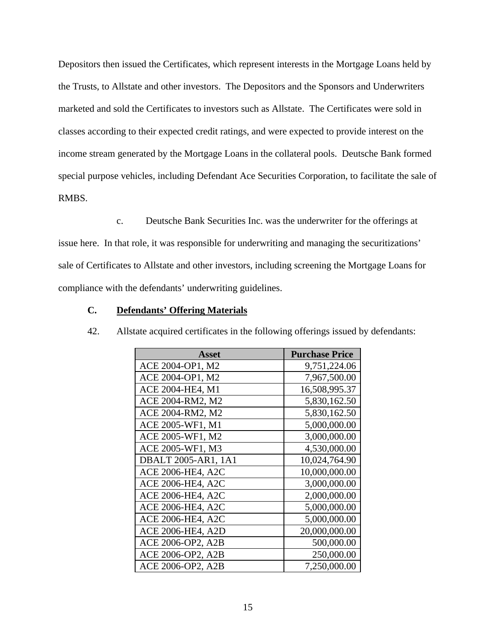Depositors then issued the Certificates, which represent interests in the Mortgage Loans held by the Trusts, to Allstate and other investors. The Depositors and the Sponsors and Underwriters marketed and sold the Certificates to investors such as Allstate. The Certificates were sold in classes according to their expected credit ratings, and were expected to provide interest on the income stream generated by the Mortgage Loans in the collateral pools. Deutsche Bank formed special purpose vehicles, including Defendant Ace Securities Corporation, to facilitate the sale of RMBS.

 c. Deutsche Bank Securities Inc. was the underwriter for the offerings at issue here. In that role, it was responsible for underwriting and managing the securitizations' sale of Certificates to Allstate and other investors, including screening the Mortgage Loans for compliance with the defendants' underwriting guidelines.

## **C. Defendants' Offering Materials**

| Asset                    | <b>Purchase Price</b> |
|--------------------------|-----------------------|
| ACE 2004-OP1, M2         | 9,751,224.06          |
| ACE 2004-OP1, M2         | 7,967,500.00          |
| ACE 2004-HE4, M1         | 16,508,995.37         |
| ACE 2004-RM2, M2         | 5,830,162.50          |
| ACE 2004-RM2, M2         | 5,830,162.50          |
| ACE 2005-WF1, M1         | 5,000,000.00          |
| ACE 2005-WF1, M2         | 3,000,000.00          |
| ACE 2005-WF1, M3         | 4,530,000.00          |
| DBALT 2005-AR1, 1A1      | 10,024,764.90         |
| <b>ACE 2006-HE4, A2C</b> | 10,000,000.00         |
| <b>ACE 2006-HE4, A2C</b> | 3,000,000.00          |
| <b>ACE 2006-HE4, A2C</b> | 2,000,000.00          |
| <b>ACE 2006-HE4, A2C</b> | 5,000,000.00          |
| <b>ACE 2006-HE4, A2C</b> | 5,000,000.00          |
| ACE 2006-HE4, A2D        | 20,000,000.00         |
| ACE 2006-OP2, A2B        | 500,000.00            |
| ACE 2006-OP2, A2B        | 250,000.00            |
| ACE 2006-OP2, A2B        | 7,250,000.00          |

42. Allstate acquired certificates in the following offerings issued by defendants: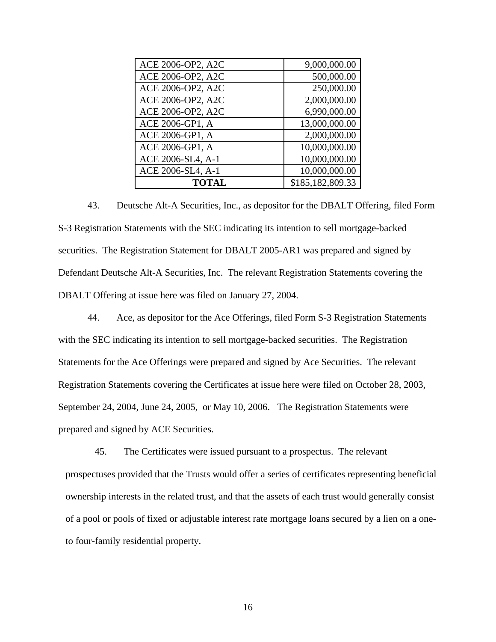| ACE 2006-OP2, A2C | 9,000,000.00     |
|-------------------|------------------|
| ACE 2006-OP2, A2C | 500,000.00       |
| ACE 2006-OP2, A2C | 250,000.00       |
| ACE 2006-OP2, A2C | 2,000,000.00     |
| ACE 2006-OP2, A2C | 6,990,000.00     |
| ACE 2006-GP1, A   | 13,000,000.00    |
| ACE 2006-GP1, A   | 2,000,000.00     |
| ACE 2006-GP1, A   | 10,000,000.00    |
| ACE 2006-SL4, A-1 | 10,000,000.00    |
| ACE 2006-SL4, A-1 | 10,000,000.00    |
| <b>TOTAL</b>      | \$185,182,809.33 |

43. Deutsche Alt-A Securities, Inc., as depositor for the DBALT Offering, filed Form S-3 Registration Statements with the SEC indicating its intention to sell mortgage-backed securities. The Registration Statement for DBALT 2005-AR1 was prepared and signed by Defendant Deutsche Alt-A Securities, Inc. The relevant Registration Statements covering the DBALT Offering at issue here was filed on January 27, 2004.

44. Ace, as depositor for the Ace Offerings, filed Form S-3 Registration Statements with the SEC indicating its intention to sell mortgage-backed securities. The Registration Statements for the Ace Offerings were prepared and signed by Ace Securities. The relevant Registration Statements covering the Certificates at issue here were filed on October 28, 2003, September 24, 2004, June 24, 2005, or May 10, 2006. The Registration Statements were prepared and signed by ACE Securities.

45. The Certificates were issued pursuant to a prospectus. The relevant prospectuses provided that the Trusts would offer a series of certificates representing beneficial ownership interests in the related trust, and that the assets of each trust would generally consist of a pool or pools of fixed or adjustable interest rate mortgage loans secured by a lien on a oneto four-family residential property.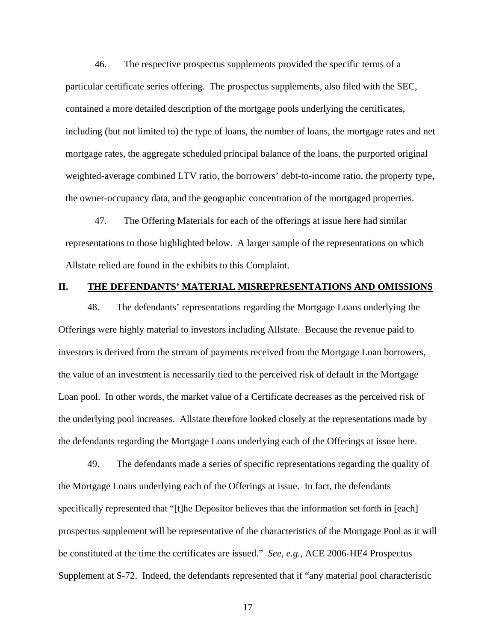46. The respective prospectus supplements provided the specific terms of a particular certificate series offering. The prospectus supplements, also filed with the SEC, contained a more detailed description of the mortgage pools underlying the certificates, including (but not limited to) the type of loans, the number of loans, the mortgage rates and net mortgage rates, the aggregate scheduled principal balance of the loans, the purported original weighted-average combined LTV ratio, the borrowers' debt-to-income ratio, the property type, the owner-occupancy data, and the geographic concentration of the mortgaged properties.

47. The Offering Materials for each of the offerings at issue here had similar representations to those highlighted below. A larger sample of the representations on which Allstate relied are found in the exhibits to this Complaint.

#### **II. THE DEFENDANTS' MATERIAL MISREPRESENTATIONS AND OMISSIONS**

48. The defendants' representations regarding the Mortgage Loans underlying the Offerings were highly material to investors including Allstate. Because the revenue paid to investors is derived from the stream of payments received from the Mortgage Loan borrowers, the value of an investment is necessarily tied to the perceived risk of default in the Mortgage Loan pool. In other words, the market value of a Certificate decreases as the perceived risk of the underlying pool increases. Allstate therefore looked closely at the representations made by the defendants regarding the Mortgage Loans underlying each of the Offerings at issue here.

49. The defendants made a series of specific representations regarding the quality of the Mortgage Loans underlying each of the Offerings at issue. In fact, the defendants specifically represented that "[t]he Depositor believes that the information set forth in [each] prospectus supplement will be representative of the characteristics of the Mortgage Pool as it will be constituted at the time the certificates are issued." *See, e.g.*, ACE 2006-HE4 Prospectus Supplement at S-72. Indeed, the defendants represented that if "any material pool characteristic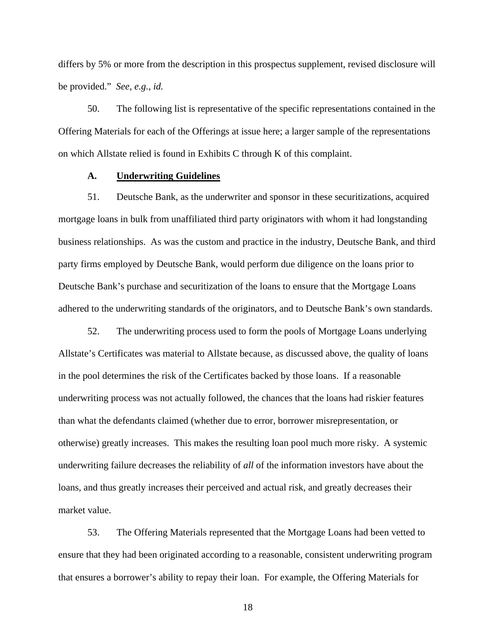differs by 5% or more from the description in this prospectus supplement, revised disclosure will be provided." *See, e.g.*, *id.*

50. The following list is representative of the specific representations contained in the Offering Materials for each of the Offerings at issue here; a larger sample of the representations on which Allstate relied is found in Exhibits C through K of this complaint.

#### **A. Underwriting Guidelines**

51. Deutsche Bank, as the underwriter and sponsor in these securitizations, acquired mortgage loans in bulk from unaffiliated third party originators with whom it had longstanding business relationships. As was the custom and practice in the industry, Deutsche Bank, and third party firms employed by Deutsche Bank, would perform due diligence on the loans prior to Deutsche Bank's purchase and securitization of the loans to ensure that the Mortgage Loans adhered to the underwriting standards of the originators, and to Deutsche Bank's own standards.

52. The underwriting process used to form the pools of Mortgage Loans underlying Allstate's Certificates was material to Allstate because, as discussed above, the quality of loans in the pool determines the risk of the Certificates backed by those loans. If a reasonable underwriting process was not actually followed, the chances that the loans had riskier features than what the defendants claimed (whether due to error, borrower misrepresentation, or otherwise) greatly increases. This makes the resulting loan pool much more risky. A systemic underwriting failure decreases the reliability of *all* of the information investors have about the loans, and thus greatly increases their perceived and actual risk, and greatly decreases their market value.

53. The Offering Materials represented that the Mortgage Loans had been vetted to ensure that they had been originated according to a reasonable, consistent underwriting program that ensures a borrower's ability to repay their loan. For example, the Offering Materials for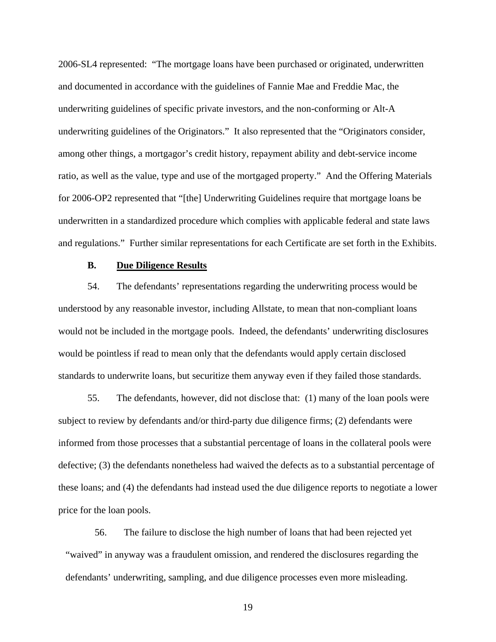2006-SL4 represented: "The mortgage loans have been purchased or originated, underwritten and documented in accordance with the guidelines of Fannie Mae and Freddie Mac, the underwriting guidelines of specific private investors, and the non-conforming or Alt-A underwriting guidelines of the Originators." It also represented that the "Originators consider, among other things, a mortgagor's credit history, repayment ability and debt-service income ratio, as well as the value, type and use of the mortgaged property." And the Offering Materials for 2006-OP2 represented that "[the] Underwriting Guidelines require that mortgage loans be underwritten in a standardized procedure which complies with applicable federal and state laws and regulations." Further similar representations for each Certificate are set forth in the Exhibits.

## **B. Due Diligence Results**

54. The defendants' representations regarding the underwriting process would be understood by any reasonable investor, including Allstate, to mean that non-compliant loans would not be included in the mortgage pools. Indeed, the defendants' underwriting disclosures would be pointless if read to mean only that the defendants would apply certain disclosed standards to underwrite loans, but securitize them anyway even if they failed those standards.

55. The defendants, however, did not disclose that: (1) many of the loan pools were subject to review by defendants and/or third-party due diligence firms; (2) defendants were informed from those processes that a substantial percentage of loans in the collateral pools were defective; (3) the defendants nonetheless had waived the defects as to a substantial percentage of these loans; and (4) the defendants had instead used the due diligence reports to negotiate a lower price for the loan pools.

56. The failure to disclose the high number of loans that had been rejected yet "waived" in anyway was a fraudulent omission, and rendered the disclosures regarding the defendants' underwriting, sampling, and due diligence processes even more misleading.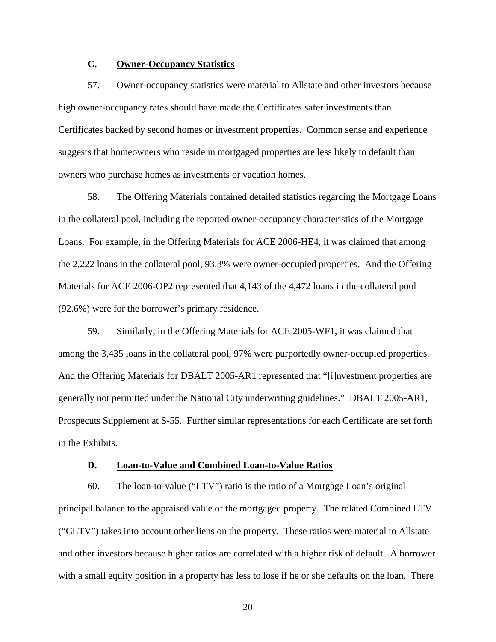# **C. Owner-Occupancy Statistics**

57. Owner-occupancy statistics were material to Allstate and other investors because high owner-occupancy rates should have made the Certificates safer investments than Certificates backed by second homes or investment properties. Common sense and experience suggests that homeowners who reside in mortgaged properties are less likely to default than owners who purchase homes as investments or vacation homes.

58. The Offering Materials contained detailed statistics regarding the Mortgage Loans in the collateral pool, including the reported owner-occupancy characteristics of the Mortgage Loans. For example, in the Offering Materials for ACE 2006-HE4, it was claimed that among the 2,222 loans in the collateral pool, 93.3% were owner-occupied properties. And the Offering Materials for ACE 2006-OP2 represented that 4,143 of the 4,472 loans in the collateral pool (92.6%) were for the borrower's primary residence.

59. Similarly, in the Offering Materials for ACE 2005-WF1, it was claimed that among the 3,435 loans in the collateral pool, 97% were purportedly owner-occupied properties. And the Offering Materials for DBALT 2005-AR1 represented that "[i]nvestment properties are generally not permitted under the National City underwriting guidelines." DBALT 2005-AR1, Prospecuts Supplement at S-55. Further similar representations for each Certificate are set forth in the Exhibits.

## **D. Loan-to-Value and Combined Loan-to-Value Ratios**

60. The loan-to-value ("LTV") ratio is the ratio of a Mortgage Loan's original principal balance to the appraised value of the mortgaged property. The related Combined LTV ("CLTV") takes into account other liens on the property. These ratios were material to Allstate and other investors because higher ratios are correlated with a higher risk of default. A borrower with a small equity position in a property has less to lose if he or she defaults on the loan. There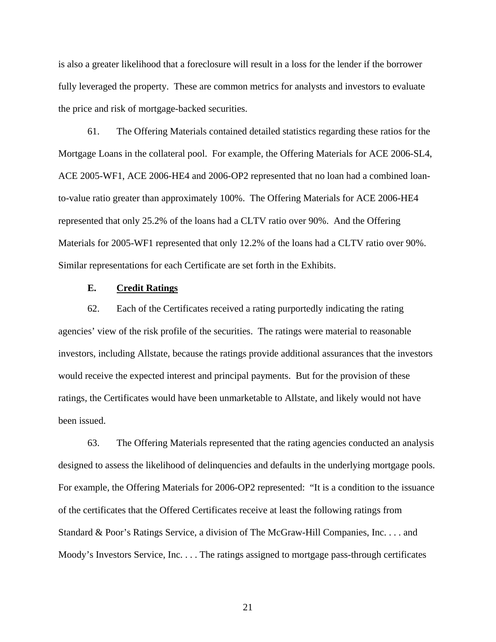is also a greater likelihood that a foreclosure will result in a loss for the lender if the borrower fully leveraged the property. These are common metrics for analysts and investors to evaluate the price and risk of mortgage-backed securities.

61. The Offering Materials contained detailed statistics regarding these ratios for the Mortgage Loans in the collateral pool. For example, the Offering Materials for ACE 2006-SL4, ACE 2005-WF1, ACE 2006-HE4 and 2006-OP2 represented that no loan had a combined loanto-value ratio greater than approximately 100%. The Offering Materials for ACE 2006-HE4 represented that only 25.2% of the loans had a CLTV ratio over 90%. And the Offering Materials for 2005-WF1 represented that only 12.2% of the loans had a CLTV ratio over 90%. Similar representations for each Certificate are set forth in the Exhibits.

#### **E. Credit Ratings**

62. Each of the Certificates received a rating purportedly indicating the rating agencies' view of the risk profile of the securities. The ratings were material to reasonable investors, including Allstate, because the ratings provide additional assurances that the investors would receive the expected interest and principal payments. But for the provision of these ratings, the Certificates would have been unmarketable to Allstate, and likely would not have been issued.

63. The Offering Materials represented that the rating agencies conducted an analysis designed to assess the likelihood of delinquencies and defaults in the underlying mortgage pools. For example, the Offering Materials for 2006-OP2 represented: "It is a condition to the issuance of the certificates that the Offered Certificates receive at least the following ratings from Standard & Poor's Ratings Service, a division of The McGraw-Hill Companies, Inc. . . . and Moody's Investors Service, Inc. . . . The ratings assigned to mortgage pass-through certificates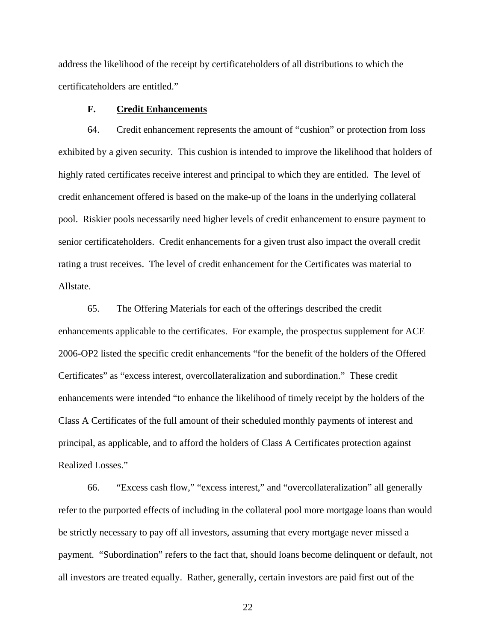address the likelihood of the receipt by certificateholders of all distributions to which the certificateholders are entitled."

## **F. Credit Enhancements**

64. Credit enhancement represents the amount of "cushion" or protection from loss exhibited by a given security. This cushion is intended to improve the likelihood that holders of highly rated certificates receive interest and principal to which they are entitled. The level of credit enhancement offered is based on the make-up of the loans in the underlying collateral pool. Riskier pools necessarily need higher levels of credit enhancement to ensure payment to senior certificateholders. Credit enhancements for a given trust also impact the overall credit rating a trust receives. The level of credit enhancement for the Certificates was material to Allstate.

65. The Offering Materials for each of the offerings described the credit enhancements applicable to the certificates. For example, the prospectus supplement for ACE 2006-OP2 listed the specific credit enhancements "for the benefit of the holders of the Offered Certificates" as "excess interest, overcollateralization and subordination." These credit enhancements were intended "to enhance the likelihood of timely receipt by the holders of the Class A Certificates of the full amount of their scheduled monthly payments of interest and principal, as applicable, and to afford the holders of Class A Certificates protection against Realized Losses."

66. "Excess cash flow," "excess interest," and "overcollateralization" all generally refer to the purported effects of including in the collateral pool more mortgage loans than would be strictly necessary to pay off all investors, assuming that every mortgage never missed a payment. "Subordination" refers to the fact that, should loans become delinquent or default, not all investors are treated equally. Rather, generally, certain investors are paid first out of the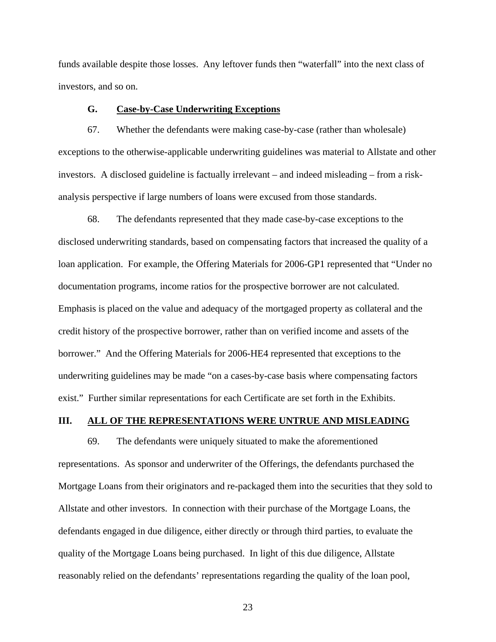funds available despite those losses. Any leftover funds then "waterfall" into the next class of investors, and so on.

### **G. Case-by-Case Underwriting Exceptions**

67. Whether the defendants were making case-by-case (rather than wholesale) exceptions to the otherwise-applicable underwriting guidelines was material to Allstate and other investors. A disclosed guideline is factually irrelevant – and indeed misleading – from a riskanalysis perspective if large numbers of loans were excused from those standards.

68. The defendants represented that they made case-by-case exceptions to the disclosed underwriting standards, based on compensating factors that increased the quality of a loan application. For example, the Offering Materials for 2006-GP1 represented that "Under no documentation programs, income ratios for the prospective borrower are not calculated. Emphasis is placed on the value and adequacy of the mortgaged property as collateral and the credit history of the prospective borrower, rather than on verified income and assets of the borrower." And the Offering Materials for 2006-HE4 represented that exceptions to the underwriting guidelines may be made "on a cases-by-case basis where compensating factors exist." Further similar representations for each Certificate are set forth in the Exhibits.

## **III. ALL OF THE REPRESENTATIONS WERE UNTRUE AND MISLEADING**

69. The defendants were uniquely situated to make the aforementioned representations. As sponsor and underwriter of the Offerings, the defendants purchased the Mortgage Loans from their originators and re-packaged them into the securities that they sold to Allstate and other investors. In connection with their purchase of the Mortgage Loans, the defendants engaged in due diligence, either directly or through third parties, to evaluate the quality of the Mortgage Loans being purchased. In light of this due diligence, Allstate reasonably relied on the defendants' representations regarding the quality of the loan pool,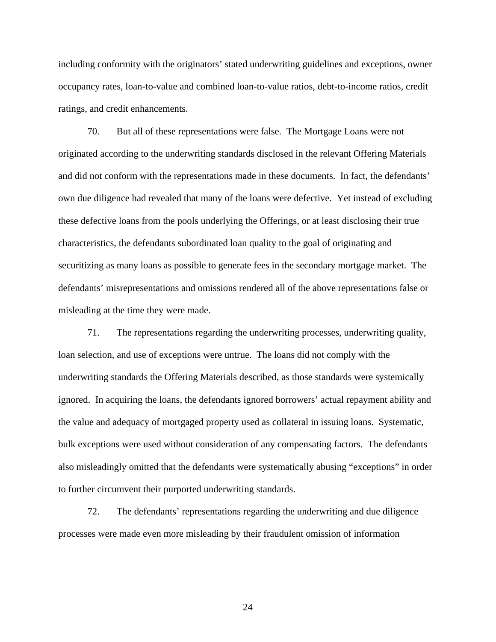including conformity with the originators' stated underwriting guidelines and exceptions, owner occupancy rates, loan-to-value and combined loan-to-value ratios, debt-to-income ratios, credit ratings, and credit enhancements.

70. But all of these representations were false. The Mortgage Loans were not originated according to the underwriting standards disclosed in the relevant Offering Materials and did not conform with the representations made in these documents. In fact, the defendants' own due diligence had revealed that many of the loans were defective. Yet instead of excluding these defective loans from the pools underlying the Offerings, or at least disclosing their true characteristics, the defendants subordinated loan quality to the goal of originating and securitizing as many loans as possible to generate fees in the secondary mortgage market. The defendants' misrepresentations and omissions rendered all of the above representations false or misleading at the time they were made.

71. The representations regarding the underwriting processes, underwriting quality, loan selection, and use of exceptions were untrue. The loans did not comply with the underwriting standards the Offering Materials described, as those standards were systemically ignored. In acquiring the loans, the defendants ignored borrowers' actual repayment ability and the value and adequacy of mortgaged property used as collateral in issuing loans. Systematic, bulk exceptions were used without consideration of any compensating factors. The defendants also misleadingly omitted that the defendants were systematically abusing "exceptions" in order to further circumvent their purported underwriting standards.

72. The defendants' representations regarding the underwriting and due diligence processes were made even more misleading by their fraudulent omission of information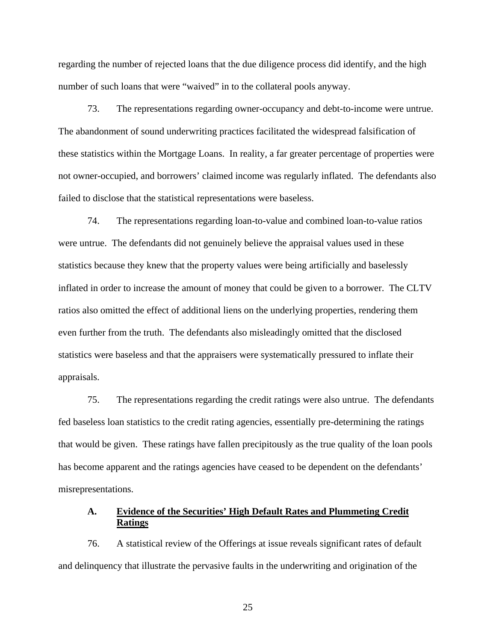regarding the number of rejected loans that the due diligence process did identify, and the high number of such loans that were "waived" in to the collateral pools anyway.

73. The representations regarding owner-occupancy and debt-to-income were untrue. The abandonment of sound underwriting practices facilitated the widespread falsification of these statistics within the Mortgage Loans. In reality, a far greater percentage of properties were not owner-occupied, and borrowers' claimed income was regularly inflated. The defendants also failed to disclose that the statistical representations were baseless.

74. The representations regarding loan-to-value and combined loan-to-value ratios were untrue. The defendants did not genuinely believe the appraisal values used in these statistics because they knew that the property values were being artificially and baselessly inflated in order to increase the amount of money that could be given to a borrower. The CLTV ratios also omitted the effect of additional liens on the underlying properties, rendering them even further from the truth. The defendants also misleadingly omitted that the disclosed statistics were baseless and that the appraisers were systematically pressured to inflate their appraisals.

75. The representations regarding the credit ratings were also untrue. The defendants fed baseless loan statistics to the credit rating agencies, essentially pre-determining the ratings that would be given. These ratings have fallen precipitously as the true quality of the loan pools has become apparent and the ratings agencies have ceased to be dependent on the defendants' misrepresentations.

## **A. Evidence of the Securities' High Default Rates and Plummeting Credit Ratings**

76. A statistical review of the Offerings at issue reveals significant rates of default and delinquency that illustrate the pervasive faults in the underwriting and origination of the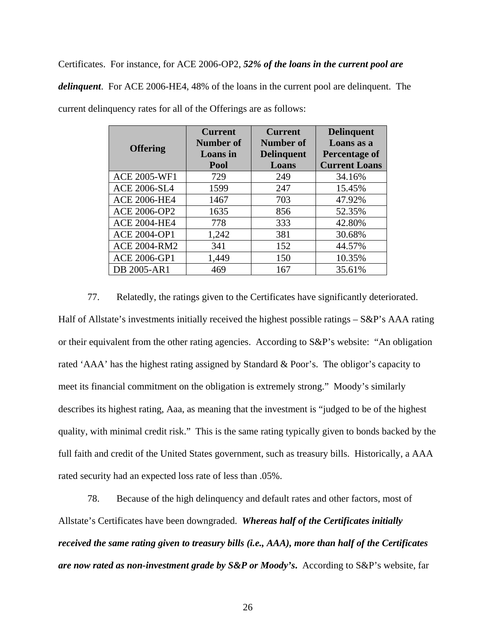Certificates. For instance, for ACE 2006-OP2, *52% of the loans in the current pool are* 

*delinquent*. For ACE 2006-HE4, 48% of the loans in the current pool are delinquent. The current delinquency rates for all of the Offerings are as follows:

| <b>Offering</b>     | <b>Current</b><br>Number of<br><b>Loans</b> in<br>Pool | <b>Current</b><br>Number of<br><b>Delinquent</b><br>Loans | <b>Delinquent</b><br>Loans as a<br><b>Percentage of</b><br><b>Current Loans</b> |
|---------------------|--------------------------------------------------------|-----------------------------------------------------------|---------------------------------------------------------------------------------|
| <b>ACE 2005-WF1</b> | 729                                                    | 249                                                       | 34.16%                                                                          |
| <b>ACE 2006-SL4</b> | 1599                                                   | 247                                                       | 15.45%                                                                          |
| <b>ACE 2006-HE4</b> | 1467                                                   | 703                                                       | 47.92%                                                                          |
| ACE 2006-OP2        | 1635                                                   | 856                                                       | 52.35%                                                                          |
| <b>ACE 2004-HE4</b> | 778                                                    | 333                                                       | 42.80%                                                                          |
| <b>ACE 2004-OP1</b> | 1,242                                                  | 381                                                       | 30.68%                                                                          |
| <b>ACE 2004-RM2</b> | 341                                                    | 152                                                       | 44.57%                                                                          |
| <b>ACE 2006-GP1</b> | 1,449                                                  | 150                                                       | 10.35%                                                                          |
| DB 2005-AR1         | 469                                                    | 167                                                       | 35.61%                                                                          |

77. Relatedly, the ratings given to the Certificates have significantly deteriorated. Half of Allstate's investments initially received the highest possible ratings – S&P's AAA rating or their equivalent from the other rating agencies. According to S&P's website: "An obligation rated 'AAA' has the highest rating assigned by Standard & Poor's. The obligor's capacity to meet its financial commitment on the obligation is extremely strong." Moody's similarly describes its highest rating, Aaa, as meaning that the investment is "judged to be of the highest quality, with minimal credit risk." This is the same rating typically given to bonds backed by the full faith and credit of the United States government, such as treasury bills. Historically, a AAA rated security had an expected loss rate of less than .05%.

78. Because of the high delinquency and default rates and other factors, most of Allstate's Certificates have been downgraded. *Whereas half of the Certificates initially received the same rating given to treasury bills (i.e., AAA), more than half of the Certificates are now rated as non-investment grade by S&P or Moody's***.** According to S&P's website, far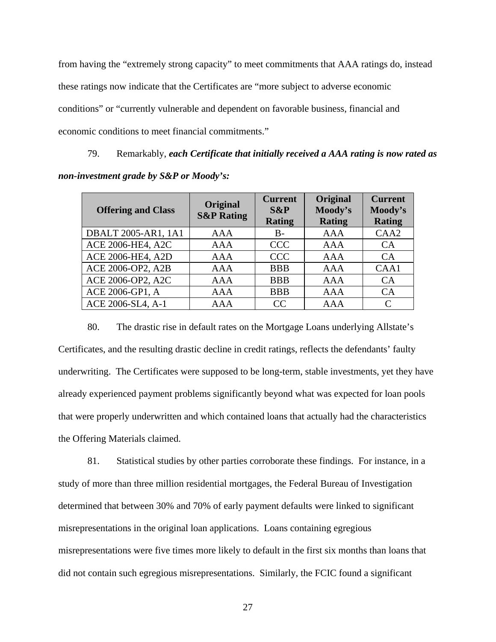from having the "extremely strong capacity" to meet commitments that AAA ratings do, instead these ratings now indicate that the Certificates are "more subject to adverse economic conditions" or "currently vulnerable and dependent on favorable business, financial and economic conditions to meet financial commitments."

79. Remarkably, *each Certificate that initially received a AAA rating is now rated as non-investment grade by S&P or Moody's:* 

| <b>Offering and Class</b> | Original<br><b>S&amp;P Rating</b> | <b>Current</b><br>$S\&P$<br><b>Rating</b> | Original<br>Moody's<br><b>Rating</b> | <b>Current</b><br>Moody's<br><b>Rating</b> |
|---------------------------|-----------------------------------|-------------------------------------------|--------------------------------------|--------------------------------------------|
| DBALT 2005-AR1, 1A1       | <b>AAA</b>                        | $B -$                                     | <b>AAA</b>                           | CAA <sub>2</sub>                           |
| ACE 2006-HE4, A2C         | <b>AAA</b>                        | <b>CCC</b>                                | AAA                                  | <b>CA</b>                                  |
| ACE 2006-HE4, A2D         | <b>AAA</b>                        | <b>CCC</b>                                | <b>AAA</b>                           | CA                                         |
| ACE 2006-OP2, A2B         | <b>AAA</b>                        | <b>BBB</b>                                | AAA                                  | CAA1                                       |
| ACE 2006-OP2, A2C         | <b>AAA</b>                        | <b>BBB</b>                                | <b>AAA</b>                           | CA                                         |
| ACE 2006-GP1, A           | <b>AAA</b>                        | <b>BBB</b>                                | AAA                                  | CA                                         |
| ACE 2006-SL4, A-1         | AAA                               | CC                                        | AAA                                  |                                            |

80. The drastic rise in default rates on the Mortgage Loans underlying Allstate's Certificates, and the resulting drastic decline in credit ratings, reflects the defendants' faulty underwriting. The Certificates were supposed to be long-term, stable investments, yet they have already experienced payment problems significantly beyond what was expected for loan pools that were properly underwritten and which contained loans that actually had the characteristics the Offering Materials claimed.

81. Statistical studies by other parties corroborate these findings. For instance, in a study of more than three million residential mortgages, the Federal Bureau of Investigation determined that between 30% and 70% of early payment defaults were linked to significant misrepresentations in the original loan applications. Loans containing egregious misrepresentations were five times more likely to default in the first six months than loans that did not contain such egregious misrepresentations. Similarly, the FCIC found a significant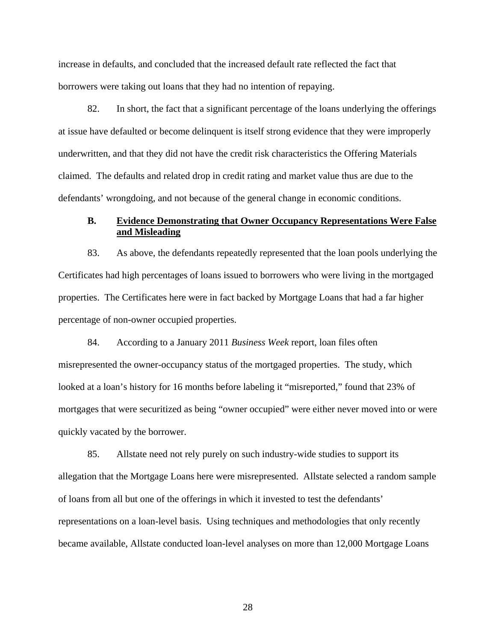increase in defaults, and concluded that the increased default rate reflected the fact that borrowers were taking out loans that they had no intention of repaying.

82. In short, the fact that a significant percentage of the loans underlying the offerings at issue have defaulted or become delinquent is itself strong evidence that they were improperly underwritten, and that they did not have the credit risk characteristics the Offering Materials claimed. The defaults and related drop in credit rating and market value thus are due to the defendants' wrongdoing, and not because of the general change in economic conditions.

## **B. Evidence Demonstrating that Owner Occupancy Representations Were False and Misleading**

83. As above, the defendants repeatedly represented that the loan pools underlying the Certificates had high percentages of loans issued to borrowers who were living in the mortgaged properties. The Certificates here were in fact backed by Mortgage Loans that had a far higher percentage of non-owner occupied properties.

84. According to a January 2011 *Business Week* report, loan files often misrepresented the owner-occupancy status of the mortgaged properties. The study, which looked at a loan's history for 16 months before labeling it "misreported," found that 23% of mortgages that were securitized as being "owner occupied" were either never moved into or were quickly vacated by the borrower.

85. Allstate need not rely purely on such industry-wide studies to support its allegation that the Mortgage Loans here were misrepresented. Allstate selected a random sample of loans from all but one of the offerings in which it invested to test the defendants' representations on a loan-level basis. Using techniques and methodologies that only recently became available, Allstate conducted loan-level analyses on more than 12,000 Mortgage Loans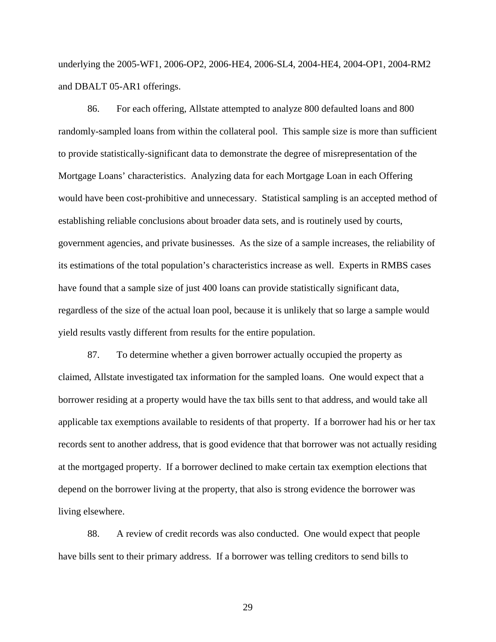underlying the 2005-WF1, 2006-OP2, 2006-HE4, 2006-SL4, 2004-HE4, 2004-OP1, 2004-RM2 and DBALT 05-AR1 offerings.

86. For each offering, Allstate attempted to analyze 800 defaulted loans and 800 randomly-sampled loans from within the collateral pool. This sample size is more than sufficient to provide statistically-significant data to demonstrate the degree of misrepresentation of the Mortgage Loans' characteristics. Analyzing data for each Mortgage Loan in each Offering would have been cost-prohibitive and unnecessary. Statistical sampling is an accepted method of establishing reliable conclusions about broader data sets, and is routinely used by courts, government agencies, and private businesses. As the size of a sample increases, the reliability of its estimations of the total population's characteristics increase as well. Experts in RMBS cases have found that a sample size of just 400 loans can provide statistically significant data, regardless of the size of the actual loan pool, because it is unlikely that so large a sample would yield results vastly different from results for the entire population.

87. To determine whether a given borrower actually occupied the property as claimed, Allstate investigated tax information for the sampled loans. One would expect that a borrower residing at a property would have the tax bills sent to that address, and would take all applicable tax exemptions available to residents of that property. If a borrower had his or her tax records sent to another address, that is good evidence that that borrower was not actually residing at the mortgaged property. If a borrower declined to make certain tax exemption elections that depend on the borrower living at the property, that also is strong evidence the borrower was living elsewhere.

88. A review of credit records was also conducted. One would expect that people have bills sent to their primary address. If a borrower was telling creditors to send bills to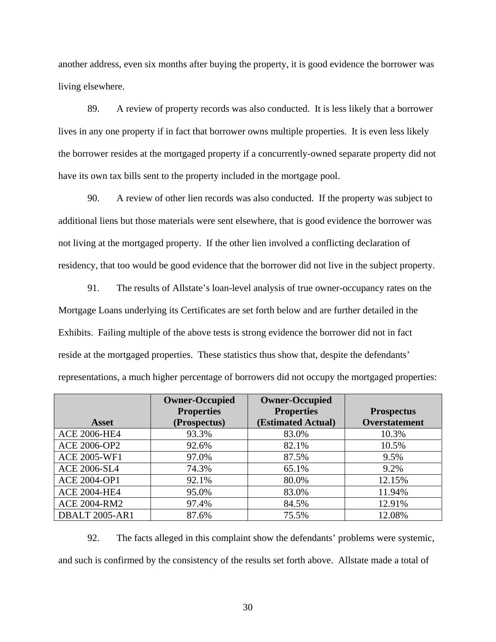another address, even six months after buying the property, it is good evidence the borrower was living elsewhere.

89. A review of property records was also conducted. It is less likely that a borrower lives in any one property if in fact that borrower owns multiple properties. It is even less likely the borrower resides at the mortgaged property if a concurrently-owned separate property did not have its own tax bills sent to the property included in the mortgage pool.

90. A review of other lien records was also conducted. If the property was subject to additional liens but those materials were sent elsewhere, that is good evidence the borrower was not living at the mortgaged property. If the other lien involved a conflicting declaration of residency, that too would be good evidence that the borrower did not live in the subject property.

91. The results of Allstate's loan-level analysis of true owner-occupancy rates on the Mortgage Loans underlying its Certificates are set forth below and are further detailed in the Exhibits. Failing multiple of the above tests is strong evidence the borrower did not in fact reside at the mortgaged properties. These statistics thus show that, despite the defendants' representations, a much higher percentage of borrowers did not occupy the mortgaged properties:

|                       | <b>Owner-Occupied</b> | <b>Owner-Occupied</b> |                      |
|-----------------------|-----------------------|-----------------------|----------------------|
|                       | <b>Properties</b>     | <b>Properties</b>     | <b>Prospectus</b>    |
| <b>Asset</b>          | (Prospectus)          | (Estimated Actual)    | <b>Overstatement</b> |
| <b>ACE 2006-HE4</b>   | 93.3%                 | 83.0%                 | 10.3%                |
| <b>ACE 2006-OP2</b>   | 92.6%                 | 82.1%                 | 10.5%                |
| <b>ACE 2005-WF1</b>   | 97.0%                 | 87.5%                 | 9.5%                 |
| <b>ACE 2006-SL4</b>   | 74.3%                 | 65.1%                 | 9.2%                 |
| <b>ACE 2004-OP1</b>   | 92.1%                 | 80.0%                 | 12.15%               |
| <b>ACE 2004-HE4</b>   | 95.0%                 | 83.0%                 | 11.94%               |
| <b>ACE 2004-RM2</b>   | 97.4%                 | 84.5%                 | 12.91%               |
| <b>DBALT 2005-AR1</b> | 87.6%                 | 75.5%                 | 12.08%               |

92. The facts alleged in this complaint show the defendants' problems were systemic, and such is confirmed by the consistency of the results set forth above. Allstate made a total of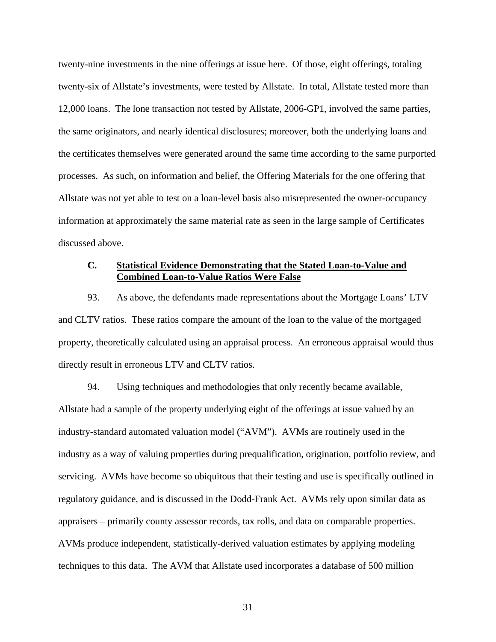twenty-nine investments in the nine offerings at issue here. Of those, eight offerings, totaling twenty-six of Allstate's investments, were tested by Allstate. In total, Allstate tested more than 12,000 loans. The lone transaction not tested by Allstate, 2006-GP1, involved the same parties, the same originators, and nearly identical disclosures; moreover, both the underlying loans and the certificates themselves were generated around the same time according to the same purported processes. As such, on information and belief, the Offering Materials for the one offering that Allstate was not yet able to test on a loan-level basis also misrepresented the owner-occupancy information at approximately the same material rate as seen in the large sample of Certificates discussed above.

#### **C. Statistical Evidence Demonstrating that the Stated Loan-to-Value and Combined Loan-to-Value Ratios Were False**

93. As above, the defendants made representations about the Mortgage Loans' LTV and CLTV ratios. These ratios compare the amount of the loan to the value of the mortgaged property, theoretically calculated using an appraisal process. An erroneous appraisal would thus directly result in erroneous LTV and CLTV ratios.

94. Using techniques and methodologies that only recently became available, Allstate had a sample of the property underlying eight of the offerings at issue valued by an industry-standard automated valuation model ("AVM"). AVMs are routinely used in the industry as a way of valuing properties during prequalification, origination, portfolio review, and servicing. AVMs have become so ubiquitous that their testing and use is specifically outlined in regulatory guidance, and is discussed in the Dodd-Frank Act. AVMs rely upon similar data as appraisers – primarily county assessor records, tax rolls, and data on comparable properties. AVMs produce independent, statistically-derived valuation estimates by applying modeling techniques to this data. The AVM that Allstate used incorporates a database of 500 million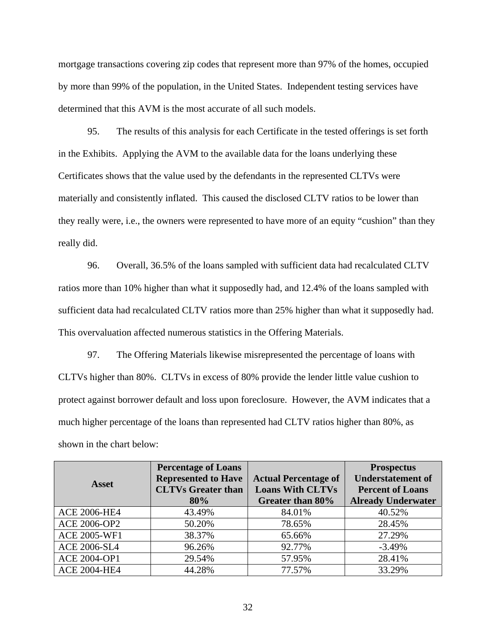mortgage transactions covering zip codes that represent more than 97% of the homes, occupied by more than 99% of the population, in the United States. Independent testing services have determined that this AVM is the most accurate of all such models.

95. The results of this analysis for each Certificate in the tested offerings is set forth in the Exhibits. Applying the AVM to the available data for the loans underlying these Certificates shows that the value used by the defendants in the represented CLTVs were materially and consistently inflated. This caused the disclosed CLTV ratios to be lower than they really were, i.e., the owners were represented to have more of an equity "cushion" than they really did.

96. Overall, 36.5% of the loans sampled with sufficient data had recalculated CLTV ratios more than 10% higher than what it supposedly had, and 12.4% of the loans sampled with sufficient data had recalculated CLTV ratios more than 25% higher than what it supposedly had. This overvaluation affected numerous statistics in the Offering Materials.

97. The Offering Materials likewise misrepresented the percentage of loans with CLTVs higher than 80%. CLTVs in excess of 80% provide the lender little value cushion to protect against borrower default and loss upon foreclosure. However, the AVM indicates that a much higher percentage of the loans than represented had CLTV ratios higher than 80%, as shown in the chart below:

|                     | <b>Percentage of Loans</b> |                             | <b>Prospectus</b>         |  |
|---------------------|----------------------------|-----------------------------|---------------------------|--|
| Asset               | <b>Represented to Have</b> | <b>Actual Percentage of</b> | <b>Understatement of</b>  |  |
|                     | <b>CLTVs Greater than</b>  | <b>Loans With CLTVs</b>     | <b>Percent of Loans</b>   |  |
|                     | 80%                        | Greater than 80%            | <b>Already Underwater</b> |  |
| <b>ACE 2006-HE4</b> | 43.49%                     | 84.01%                      | 40.52%                    |  |
| <b>ACE 2006-OP2</b> | 50.20%                     | 78.65%                      | 28.45%                    |  |
| <b>ACE 2005-WF1</b> | 38.37%                     | 65.66%                      | 27.29%                    |  |
| <b>ACE 2006-SL4</b> | 96.26%                     | 92.77%                      | $-3.49%$                  |  |
| <b>ACE 2004-OP1</b> | 29.54%                     | 57.95%                      | 28.41%                    |  |
| <b>ACE 2004-HE4</b> | 44.28%                     | 77.57%                      | 33.29%                    |  |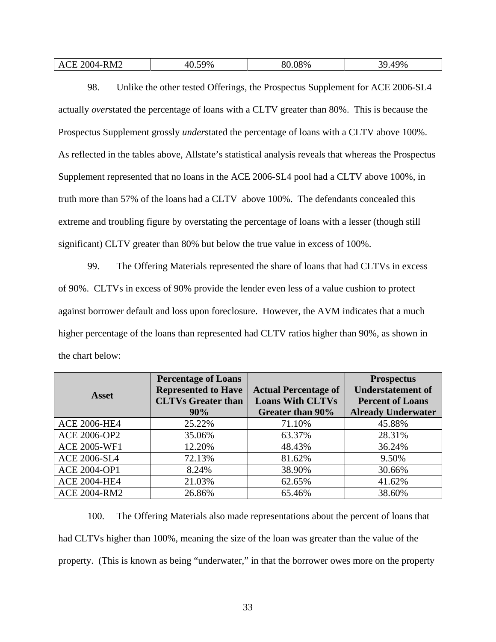| 8M2<br>$\Delta'$<br>– ∪ ∕∖ | 08%<br>$^{\circ}$ $\Omega$ $\Omega$<br>70 | $9\%$<br>חכ |
|----------------------------|-------------------------------------------|-------------|
|----------------------------|-------------------------------------------|-------------|

98. Unlike the other tested Offerings, the Prospectus Supplement for ACE 2006-SL4 actually *over*stated the percentage of loans with a CLTV greater than 80%. This is because the Prospectus Supplement grossly *under*stated the percentage of loans with a CLTV above 100%. As reflected in the tables above, Allstate's statistical analysis reveals that whereas the Prospectus Supplement represented that no loans in the ACE 2006-SL4 pool had a CLTV above 100%, in truth more than 57% of the loans had a CLTV above 100%. The defendants concealed this extreme and troubling figure by overstating the percentage of loans with a lesser (though still significant) CLTV greater than 80% but below the true value in excess of 100%.

99. The Offering Materials represented the share of loans that had CLTVs in excess of 90%. CLTVs in excess of 90% provide the lender even less of a value cushion to protect against borrower default and loss upon foreclosure. However, the AVM indicates that a much higher percentage of the loans than represented had CLTV ratios higher than 90%, as shown in the chart below:

|                     | <b>Percentage of Loans</b> |                             | <b>Prospectus</b>         |  |
|---------------------|----------------------------|-----------------------------|---------------------------|--|
| <b>Asset</b>        | <b>Represented to Have</b> | <b>Actual Percentage of</b> | <b>Understatement of</b>  |  |
|                     | <b>CLTVs Greater than</b>  | <b>Loans With CLTVs</b>     | <b>Percent of Loans</b>   |  |
|                     | 90%                        | Greater than 90%            | <b>Already Underwater</b> |  |
| <b>ACE 2006-HE4</b> | 25.22%                     | 71.10%                      | 45.88%                    |  |
| <b>ACE 2006-OP2</b> | 35.06%                     | 63.37%                      | 28.31%                    |  |
| <b>ACE 2005-WF1</b> | 12.20%                     | 48.43%                      | 36.24%                    |  |
| <b>ACE 2006-SL4</b> | 72.13%                     | 81.62%                      | 9.50%                     |  |
| <b>ACE 2004-OP1</b> | 8.24%                      | 38.90%                      | 30.66%                    |  |
| <b>ACE 2004-HE4</b> | 21.03%                     | 62.65%                      | 41.62%                    |  |
| <b>ACE 2004-RM2</b> | 26.86%                     | 65.46%                      | 38.60%                    |  |

100. The Offering Materials also made representations about the percent of loans that had CLTVs higher than 100%, meaning the size of the loan was greater than the value of the property. (This is known as being "underwater," in that the borrower owes more on the property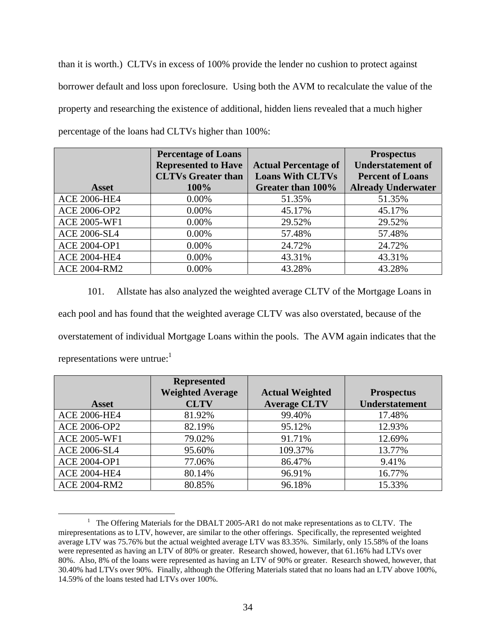than it is worth.) CLTVs in excess of 100% provide the lender no cushion to protect against borrower default and loss upon foreclosure. Using both the AVM to recalculate the value of the property and researching the existence of additional, hidden liens revealed that a much higher percentage of the loans had CLTVs higher than 100%:

|                     | <b>Percentage of Loans</b> |                             | <b>Prospectus</b>         |
|---------------------|----------------------------|-----------------------------|---------------------------|
|                     | <b>Represented to Have</b> | <b>Actual Percentage of</b> | <b>Understatement of</b>  |
|                     | <b>CLTVs Greater than</b>  | <b>Loans With CLTVs</b>     | <b>Percent of Loans</b>   |
| <b>Asset</b>        | 100%                       | Greater than 100%           | <b>Already Underwater</b> |
| <b>ACE 2006-HE4</b> | 0.00%                      | 51.35%                      | 51.35%                    |
| <b>ACE 2006-OP2</b> | $0.00\%$                   | 45.17%                      | 45.17%                    |
| <b>ACE 2005-WF1</b> | $0.00\%$                   | 29.52%                      | 29.52%                    |
| <b>ACE 2006-SL4</b> | 0.00%                      | 57.48%                      | 57.48%                    |
| <b>ACE 2004-OP1</b> | 0.00%                      | 24.72%                      | 24.72%                    |
| <b>ACE 2004-HE4</b> | 0.00%                      | 43.31%                      | 43.31%                    |
| <b>ACE 2004-RM2</b> | 0.00%                      | 43.28%                      | 43.28%                    |

101. Allstate has also analyzed the weighted average CLTV of the Mortgage Loans in each pool and has found that the weighted average CLTV was also overstated, because of the overstatement of individual Mortgage Loans within the pools. The AVM again indicates that the representations were untrue: $<sup>1</sup>$ </sup>

|                     | <b>Represented</b>      |                        |                   |
|---------------------|-------------------------|------------------------|-------------------|
|                     | <b>Weighted Average</b> | <b>Actual Weighted</b> | <b>Prospectus</b> |
| <b>Asset</b>        | <b>CLTV</b>             | <b>Average CLTV</b>    | Understatement    |
| <b>ACE 2006-HE4</b> | 81.92%                  | 99.40%                 | 17.48%            |
| <b>ACE 2006-OP2</b> | 82.19%                  | 95.12%                 | 12.93%            |
| <b>ACE 2005-WF1</b> | 79.02%                  | 91.71%                 | 12.69%            |
| <b>ACE 2006-SL4</b> | 95.60%                  | 109.37%                | 13.77%            |
| <b>ACE 2004-OP1</b> | 77.06%                  | 86.47%                 | 9.41%             |
| <b>ACE 2004-HE4</b> | 80.14%                  | 96.91%                 | 16.77%            |
| <b>ACE 2004-RM2</b> | 80.85%                  | 96.18%                 | 15.33%            |

<sup>&</sup>lt;u>1</u>  $1$  The Offering Materials for the DBALT 2005-AR1 do not make representations as to CLTV. The mirepresentations as to LTV, however, are similar to the other offerings. Specifically, the represented weighted average LTV was 75.76% but the actual weighted average LTV was 83.35%. Similarly, only 15.58% of the loans were represented as having an LTV of 80% or greater. Research showed, however, that 61.16% had LTVs over 80%. Also, 8% of the loans were represented as having an LTV of 90% or greater. Research showed, however, that 30.40% had LTVs over 90%. Finally, although the Offering Materials stated that no loans had an LTV above 100%, 14.59% of the loans tested had LTVs over 100%.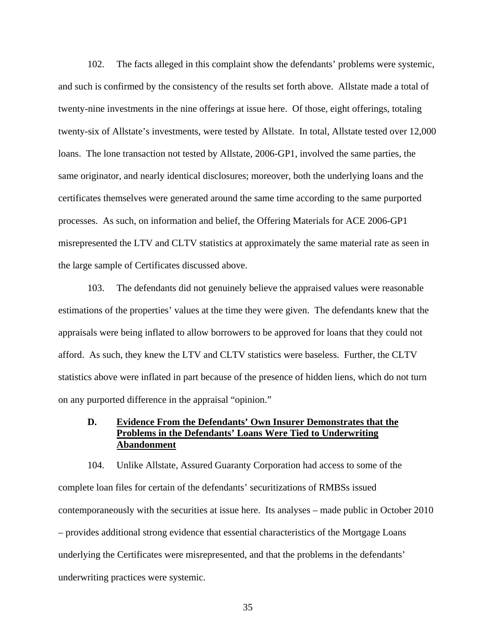102. The facts alleged in this complaint show the defendants' problems were systemic, and such is confirmed by the consistency of the results set forth above. Allstate made a total of twenty-nine investments in the nine offerings at issue here. Of those, eight offerings, totaling twenty-six of Allstate's investments, were tested by Allstate. In total, Allstate tested over 12,000 loans. The lone transaction not tested by Allstate, 2006-GP1, involved the same parties, the same originator, and nearly identical disclosures; moreover, both the underlying loans and the certificates themselves were generated around the same time according to the same purported processes. As such, on information and belief, the Offering Materials for ACE 2006-GP1 misrepresented the LTV and CLTV statistics at approximately the same material rate as seen in the large sample of Certificates discussed above.

103. The defendants did not genuinely believe the appraised values were reasonable estimations of the properties' values at the time they were given. The defendants knew that the appraisals were being inflated to allow borrowers to be approved for loans that they could not afford. As such, they knew the LTV and CLTV statistics were baseless. Further, the CLTV statistics above were inflated in part because of the presence of hidden liens, which do not turn on any purported difference in the appraisal "opinion."

# **D. Evidence From the Defendants' Own Insurer Demonstrates that the Problems in the Defendants' Loans Were Tied to Underwriting Abandonment**

104. Unlike Allstate, Assured Guaranty Corporation had access to some of the complete loan files for certain of the defendants' securitizations of RMBSs issued contemporaneously with the securities at issue here. Its analyses – made public in October 2010 – provides additional strong evidence that essential characteristics of the Mortgage Loans underlying the Certificates were misrepresented, and that the problems in the defendants' underwriting practices were systemic.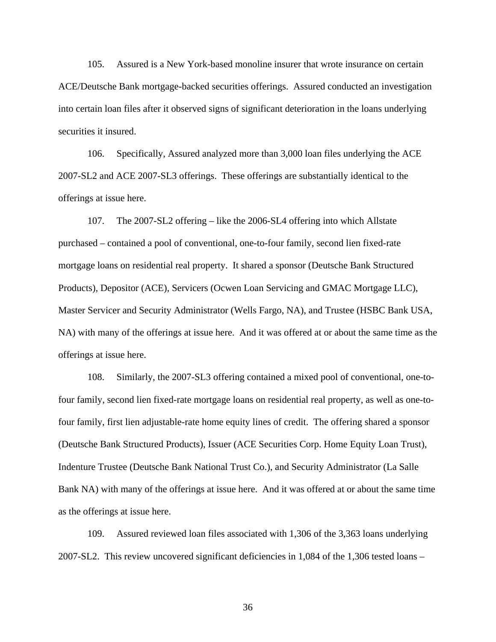105. Assured is a New York-based monoline insurer that wrote insurance on certain ACE/Deutsche Bank mortgage-backed securities offerings. Assured conducted an investigation into certain loan files after it observed signs of significant deterioration in the loans underlying securities it insured.

106. Specifically, Assured analyzed more than 3,000 loan files underlying the ACE 2007-SL2 and ACE 2007-SL3 offerings. These offerings are substantially identical to the offerings at issue here.

107. The 2007-SL2 offering – like the 2006-SL4 offering into which Allstate purchased – contained a pool of conventional, one-to-four family, second lien fixed-rate mortgage loans on residential real property. It shared a sponsor (Deutsche Bank Structured Products), Depositor (ACE), Servicers (Ocwen Loan Servicing and GMAC Mortgage LLC), Master Servicer and Security Administrator (Wells Fargo, NA), and Trustee (HSBC Bank USA, NA) with many of the offerings at issue here. And it was offered at or about the same time as the offerings at issue here.

108. Similarly, the 2007-SL3 offering contained a mixed pool of conventional, one-tofour family, second lien fixed-rate mortgage loans on residential real property, as well as one-tofour family, first lien adjustable-rate home equity lines of credit. The offering shared a sponsor (Deutsche Bank Structured Products), Issuer (ACE Securities Corp. Home Equity Loan Trust), Indenture Trustee (Deutsche Bank National Trust Co.), and Security Administrator (La Salle Bank NA) with many of the offerings at issue here. And it was offered at or about the same time as the offerings at issue here.

109. Assured reviewed loan files associated with 1,306 of the 3,363 loans underlying 2007-SL2. This review uncovered significant deficiencies in 1,084 of the 1,306 tested loans –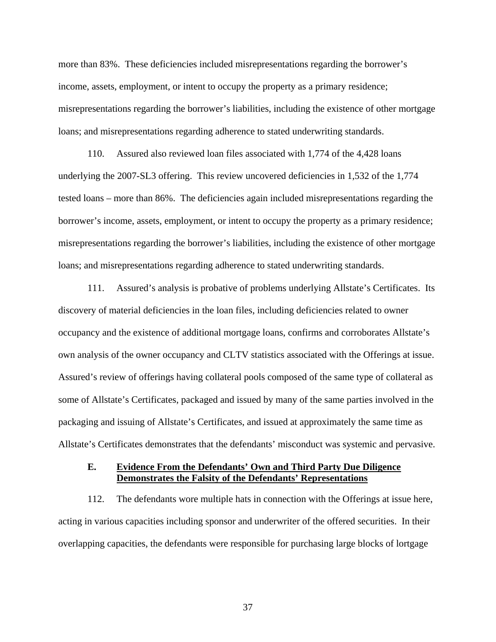more than 83%. These deficiencies included misrepresentations regarding the borrower's income, assets, employment, or intent to occupy the property as a primary residence; misrepresentations regarding the borrower's liabilities, including the existence of other mortgage loans; and misrepresentations regarding adherence to stated underwriting standards.

110. Assured also reviewed loan files associated with 1,774 of the 4,428 loans underlying the 2007-SL3 offering. This review uncovered deficiencies in 1,532 of the 1,774 tested loans – more than 86%. The deficiencies again included misrepresentations regarding the borrower's income, assets, employment, or intent to occupy the property as a primary residence; misrepresentations regarding the borrower's liabilities, including the existence of other mortgage loans; and misrepresentations regarding adherence to stated underwriting standards.

111. Assured's analysis is probative of problems underlying Allstate's Certificates. Its discovery of material deficiencies in the loan files, including deficiencies related to owner occupancy and the existence of additional mortgage loans, confirms and corroborates Allstate's own analysis of the owner occupancy and CLTV statistics associated with the Offerings at issue. Assured's review of offerings having collateral pools composed of the same type of collateral as some of Allstate's Certificates, packaged and issued by many of the same parties involved in the packaging and issuing of Allstate's Certificates, and issued at approximately the same time as Allstate's Certificates demonstrates that the defendants' misconduct was systemic and pervasive.

# **E. Evidence From the Defendants' Own and Third Party Due Diligence Demonstrates the Falsity of the Defendants' Representations**

112. The defendants wore multiple hats in connection with the Offerings at issue here, acting in various capacities including sponsor and underwriter of the offered securities. In their overlapping capacities, the defendants were responsible for purchasing large blocks of lortgage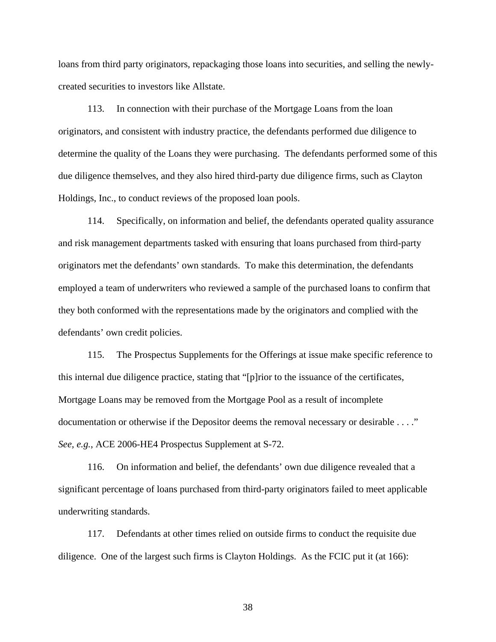loans from third party originators, repackaging those loans into securities, and selling the newlycreated securities to investors like Allstate.

113. In connection with their purchase of the Mortgage Loans from the loan originators, and consistent with industry practice, the defendants performed due diligence to determine the quality of the Loans they were purchasing. The defendants performed some of this due diligence themselves, and they also hired third-party due diligence firms, such as Clayton Holdings, Inc., to conduct reviews of the proposed loan pools.

114. Specifically, on information and belief, the defendants operated quality assurance and risk management departments tasked with ensuring that loans purchased from third-party originators met the defendants' own standards. To make this determination, the defendants employed a team of underwriters who reviewed a sample of the purchased loans to confirm that they both conformed with the representations made by the originators and complied with the defendants' own credit policies.

115. The Prospectus Supplements for the Offerings at issue make specific reference to this internal due diligence practice, stating that "[p]rior to the issuance of the certificates, Mortgage Loans may be removed from the Mortgage Pool as a result of incomplete documentation or otherwise if the Depositor deems the removal necessary or desirable . . . ." *See, e.g.*, ACE 2006-HE4 Prospectus Supplement at S-72.

116. On information and belief, the defendants' own due diligence revealed that a significant percentage of loans purchased from third-party originators failed to meet applicable underwriting standards.

117. Defendants at other times relied on outside firms to conduct the requisite due diligence. One of the largest such firms is Clayton Holdings. As the FCIC put it (at 166):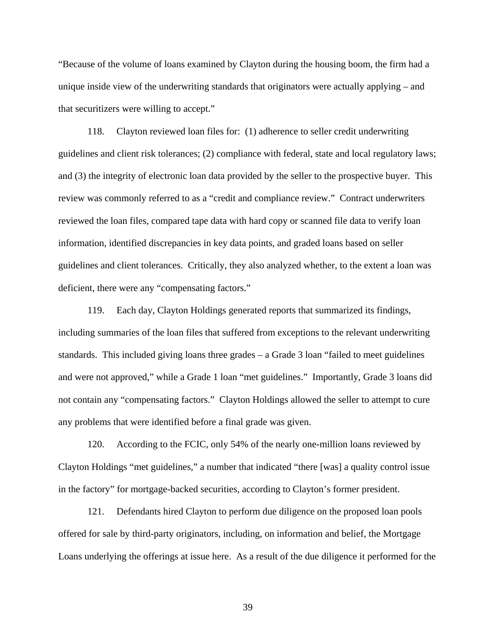"Because of the volume of loans examined by Clayton during the housing boom, the firm had a unique inside view of the underwriting standards that originators were actually applying – and that securitizers were willing to accept."

118. Clayton reviewed loan files for: (1) adherence to seller credit underwriting guidelines and client risk tolerances; (2) compliance with federal, state and local regulatory laws; and (3) the integrity of electronic loan data provided by the seller to the prospective buyer. This review was commonly referred to as a "credit and compliance review." Contract underwriters reviewed the loan files, compared tape data with hard copy or scanned file data to verify loan information, identified discrepancies in key data points, and graded loans based on seller guidelines and client tolerances. Critically, they also analyzed whether, to the extent a loan was deficient, there were any "compensating factors."

119. Each day, Clayton Holdings generated reports that summarized its findings, including summaries of the loan files that suffered from exceptions to the relevant underwriting standards. This included giving loans three grades – a Grade 3 loan "failed to meet guidelines and were not approved," while a Grade 1 loan "met guidelines." Importantly, Grade 3 loans did not contain any "compensating factors." Clayton Holdings allowed the seller to attempt to cure any problems that were identified before a final grade was given.

120. According to the FCIC, only 54% of the nearly one-million loans reviewed by Clayton Holdings "met guidelines," a number that indicated "there [was] a quality control issue in the factory" for mortgage-backed securities, according to Clayton's former president.

121. Defendants hired Clayton to perform due diligence on the proposed loan pools offered for sale by third-party originators, including, on information and belief, the Mortgage Loans underlying the offerings at issue here. As a result of the due diligence it performed for the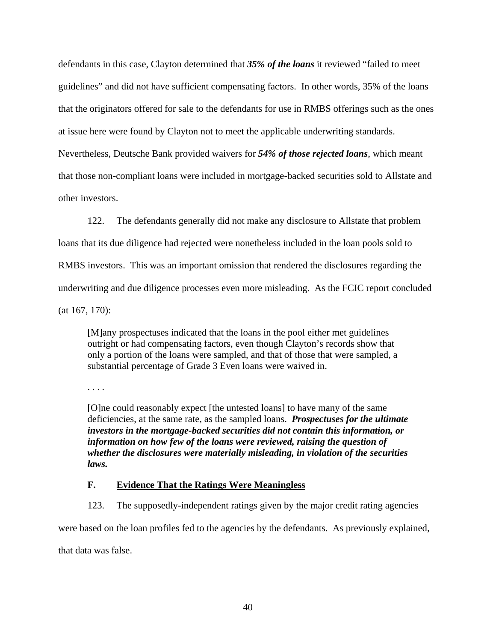defendants in this case, Clayton determined that *35% of the loans* it reviewed "failed to meet guidelines" and did not have sufficient compensating factors. In other words, 35% of the loans that the originators offered for sale to the defendants for use in RMBS offerings such as the ones at issue here were found by Clayton not to meet the applicable underwriting standards. Nevertheless, Deutsche Bank provided waivers for *54% of those rejected loans*, which meant that those non-compliant loans were included in mortgage-backed securities sold to Allstate and other investors.

122. The defendants generally did not make any disclosure to Allstate that problem

loans that its due diligence had rejected were nonetheless included in the loan pools sold to

RMBS investors. This was an important omission that rendered the disclosures regarding the

underwriting and due diligence processes even more misleading. As the FCIC report concluded

(at 167, 170):

[M]any prospectuses indicated that the loans in the pool either met guidelines outright or had compensating factors, even though Clayton's records show that only a portion of the loans were sampled, and that of those that were sampled, a substantial percentage of Grade 3 Even loans were waived in.

. . . .

[O]ne could reasonably expect [the untested loans] to have many of the same deficiencies, at the same rate, as the sampled loans. *Prospectuses for the ultimate investors in the mortgage-backed securities did not contain this information, or information on how few of the loans were reviewed, raising the question of whether the disclosures were materially misleading, in violation of the securities laws.*

# **F. Evidence That the Ratings Were Meaningless**

123. The supposedly-independent ratings given by the major credit rating agencies

were based on the loan profiles fed to the agencies by the defendants. As previously explained,

that data was false.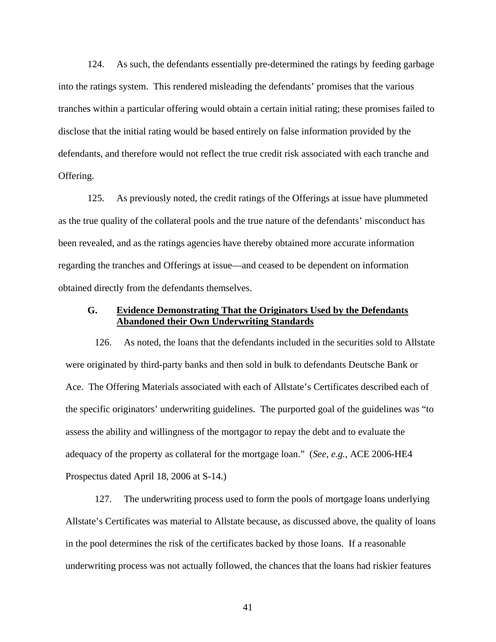124. As such, the defendants essentially pre-determined the ratings by feeding garbage into the ratings system. This rendered misleading the defendants' promises that the various tranches within a particular offering would obtain a certain initial rating; these promises failed to disclose that the initial rating would be based entirely on false information provided by the defendants, and therefore would not reflect the true credit risk associated with each tranche and Offering.

125. As previously noted, the credit ratings of the Offerings at issue have plummeted as the true quality of the collateral pools and the true nature of the defendants' misconduct has been revealed, and as the ratings agencies have thereby obtained more accurate information regarding the tranches and Offerings at issue—and ceased to be dependent on information obtained directly from the defendants themselves.

## **G. Evidence Demonstrating That the Originators Used by the Defendants Abandoned their Own Underwriting Standards**

126. As noted, the loans that the defendants included in the securities sold to Allstate were originated by third-party banks and then sold in bulk to defendants Deutsche Bank or Ace. The Offering Materials associated with each of Allstate's Certificates described each of the specific originators' underwriting guidelines. The purported goal of the guidelines was "to assess the ability and willingness of the mortgagor to repay the debt and to evaluate the adequacy of the property as collateral for the mortgage loan." (*See*, *e.g.*, ACE 2006-HE4 Prospectus dated April 18, 2006 at S-14.)

127. The underwriting process used to form the pools of mortgage loans underlying Allstate's Certificates was material to Allstate because, as discussed above, the quality of loans in the pool determines the risk of the certificates backed by those loans. If a reasonable underwriting process was not actually followed, the chances that the loans had riskier features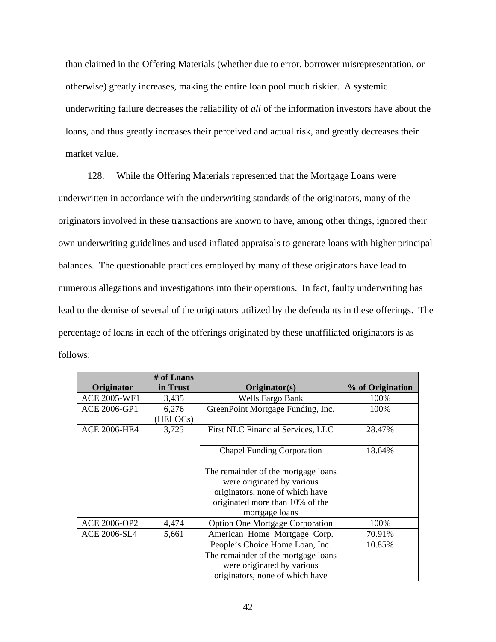than claimed in the Offering Materials (whether due to error, borrower misrepresentation, or otherwise) greatly increases, making the entire loan pool much riskier. A systemic underwriting failure decreases the reliability of *all* of the information investors have about the loans, and thus greatly increases their perceived and actual risk, and greatly decreases their market value.

128. While the Offering Materials represented that the Mortgage Loans were underwritten in accordance with the underwriting standards of the originators, many of the originators involved in these transactions are known to have, among other things, ignored their own underwriting guidelines and used inflated appraisals to generate loans with higher principal balances. The questionable practices employed by many of these originators have lead to numerous allegations and investigations into their operations. In fact, faulty underwriting has lead to the demise of several of the originators utilized by the defendants in these offerings. The percentage of loans in each of the offerings originated by these unaffiliated originators is as follows:

|                     | # of Loans |                                        |                  |
|---------------------|------------|----------------------------------------|------------------|
| Originator          | in Trust   | Originator(s)                          | % of Origination |
| <b>ACE 2005-WF1</b> | 3,435      | <b>Wells Fargo Bank</b>                | 100%             |
| <b>ACE 2006-GP1</b> | 6,276      | GreenPoint Mortgage Funding, Inc.      | 100%             |
|                     | (HELOCs)   |                                        |                  |
| <b>ACE 2006-HE4</b> | 3,725      | First NLC Financial Services, LLC      | 28.47%           |
|                     |            |                                        |                  |
|                     |            | <b>Chapel Funding Corporation</b>      | 18.64%           |
|                     |            |                                        |                  |
|                     |            | The remainder of the mortgage loans    |                  |
|                     |            | were originated by various             |                  |
|                     |            | originators, none of which have        |                  |
|                     |            | originated more than 10% of the        |                  |
|                     |            | mortgage loans                         |                  |
| ACE 2006-OP2        | 4,474      | <b>Option One Mortgage Corporation</b> | 100%             |
| <b>ACE 2006-SL4</b> | 5,661      | American Home Mortgage Corp.           | 70.91%           |
|                     |            | People's Choice Home Loan, Inc.        | 10.85%           |
|                     |            | The remainder of the mortgage loans    |                  |
|                     |            | were originated by various             |                  |
|                     |            | originators, none of which have        |                  |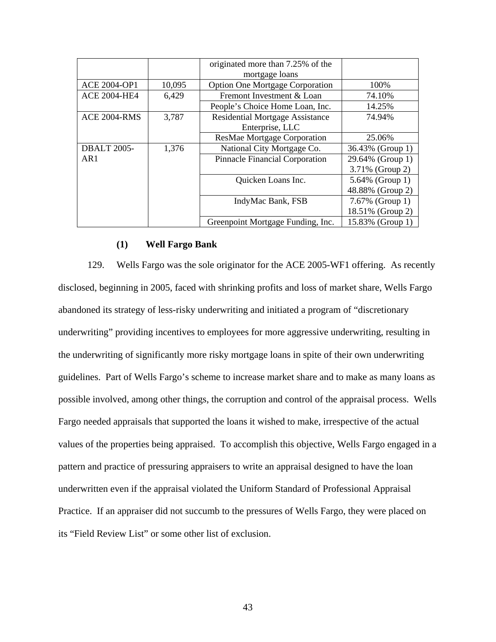|                     |        | originated more than 7.25% of the      |                  |
|---------------------|--------|----------------------------------------|------------------|
|                     |        | mortgage loans                         |                  |
| <b>ACE 2004-OP1</b> | 10,095 | <b>Option One Mortgage Corporation</b> | 100%             |
| <b>ACE 2004-HE4</b> | 6,429  | Fremont Investment & Loan              | 74.10%           |
|                     |        | People's Choice Home Loan, Inc.        | 14.25%           |
| <b>ACE 2004-RMS</b> | 3,787  | <b>Residential Mortgage Assistance</b> | 74.94%           |
|                     |        | Enterprise, LLC                        |                  |
|                     |        | <b>ResMae Mortgage Corporation</b>     | 25.06%           |
| <b>DBALT 2005-</b>  | 1,376  | National City Mortgage Co.             | 36.43% (Group 1) |
| AR1                 |        | <b>Pinnacle Financial Corporation</b>  | 29.64% (Group 1) |
|                     |        |                                        | 3.71% (Group 2)  |
|                     |        | Quicken Loans Inc.                     | 5.64% (Group 1)  |
|                     |        |                                        | 48.88% (Group 2) |
|                     |        | IndyMac Bank, FSB                      | 7.67% (Group 1)  |
|                     |        |                                        | 18.51% (Group 2) |
|                     |        | Greenpoint Mortgage Funding, Inc.      | 15.83% (Group 1) |

### **(1) Well Fargo Bank**

129. Wells Fargo was the sole originator for the ACE 2005-WF1 offering. As recently disclosed, beginning in 2005, faced with shrinking profits and loss of market share, Wells Fargo abandoned its strategy of less-risky underwriting and initiated a program of "discretionary underwriting" providing incentives to employees for more aggressive underwriting, resulting in the underwriting of significantly more risky mortgage loans in spite of their own underwriting guidelines. Part of Wells Fargo's scheme to increase market share and to make as many loans as possible involved, among other things, the corruption and control of the appraisal process. Wells Fargo needed appraisals that supported the loans it wished to make, irrespective of the actual values of the properties being appraised. To accomplish this objective, Wells Fargo engaged in a pattern and practice of pressuring appraisers to write an appraisal designed to have the loan underwritten even if the appraisal violated the Uniform Standard of Professional Appraisal Practice. If an appraiser did not succumb to the pressures of Wells Fargo, they were placed on its "Field Review List" or some other list of exclusion.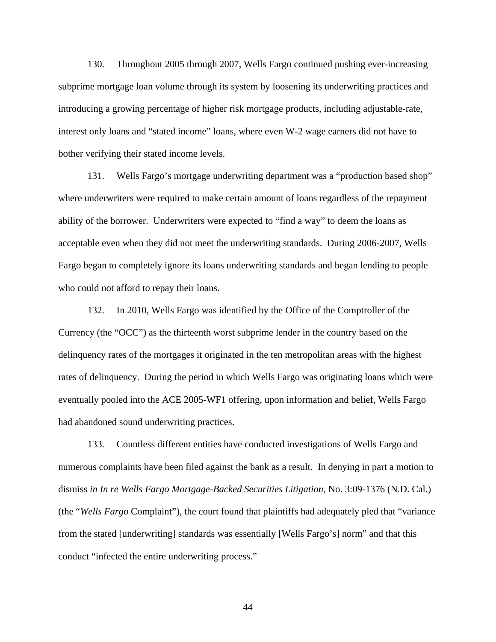130. Throughout 2005 through 2007, Wells Fargo continued pushing ever-increasing subprime mortgage loan volume through its system by loosening its underwriting practices and introducing a growing percentage of higher risk mortgage products, including adjustable-rate, interest only loans and "stated income" loans, where even W-2 wage earners did not have to bother verifying their stated income levels.

131. Wells Fargo's mortgage underwriting department was a "production based shop" where underwriters were required to make certain amount of loans regardless of the repayment ability of the borrower. Underwriters were expected to "find a way" to deem the loans as acceptable even when they did not meet the underwriting standards. During 2006-2007, Wells Fargo began to completely ignore its loans underwriting standards and began lending to people who could not afford to repay their loans.

132. In 2010, Wells Fargo was identified by the Office of the Comptroller of the Currency (the "OCC") as the thirteenth worst subprime lender in the country based on the delinquency rates of the mortgages it originated in the ten metropolitan areas with the highest rates of delinquency. During the period in which Wells Fargo was originating loans which were eventually pooled into the ACE 2005-WF1 offering, upon information and belief, Wells Fargo had abandoned sound underwriting practices.

133. Countless different entities have conducted investigations of Wells Fargo and numerous complaints have been filed against the bank as a result. In denying in part a motion to dismiss *in In re Wells Fargo Mortgage-Backed Securities Litigation,* No. 3:09-1376 (N.D. Cal.) (the "*Wells Fargo* Complaint"), the court found that plaintiffs had adequately pled that "variance from the stated [underwriting] standards was essentially [Wells Fargo's] norm" and that this conduct "infected the entire underwriting process."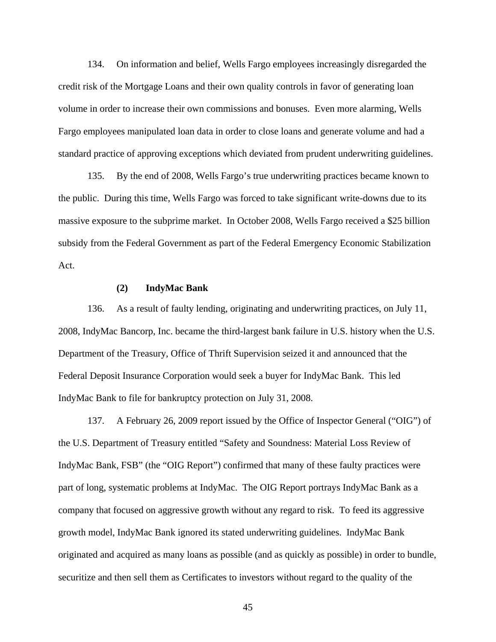134. On information and belief, Wells Fargo employees increasingly disregarded the credit risk of the Mortgage Loans and their own quality controls in favor of generating loan volume in order to increase their own commissions and bonuses. Even more alarming, Wells Fargo employees manipulated loan data in order to close loans and generate volume and had a standard practice of approving exceptions which deviated from prudent underwriting guidelines.

135. By the end of 2008, Wells Fargo's true underwriting practices became known to the public. During this time, Wells Fargo was forced to take significant write-downs due to its massive exposure to the subprime market. In October 2008, Wells Fargo received a \$25 billion subsidy from the Federal Government as part of the Federal Emergency Economic Stabilization Act.

#### **(2) IndyMac Bank**

136. As a result of faulty lending, originating and underwriting practices, on July 11, 2008, IndyMac Bancorp, Inc. became the third-largest bank failure in U.S. history when the U.S. Department of the Treasury, Office of Thrift Supervision seized it and announced that the Federal Deposit Insurance Corporation would seek a buyer for IndyMac Bank. This led IndyMac Bank to file for bankruptcy protection on July 31, 2008.

137. A February 26, 2009 report issued by the Office of Inspector General ("OIG") of the U.S. Department of Treasury entitled "Safety and Soundness: Material Loss Review of IndyMac Bank, FSB" (the "OIG Report") confirmed that many of these faulty practices were part of long, systematic problems at IndyMac. The OIG Report portrays IndyMac Bank as a company that focused on aggressive growth without any regard to risk. To feed its aggressive growth model, IndyMac Bank ignored its stated underwriting guidelines. IndyMac Bank originated and acquired as many loans as possible (and as quickly as possible) in order to bundle, securitize and then sell them as Certificates to investors without regard to the quality of the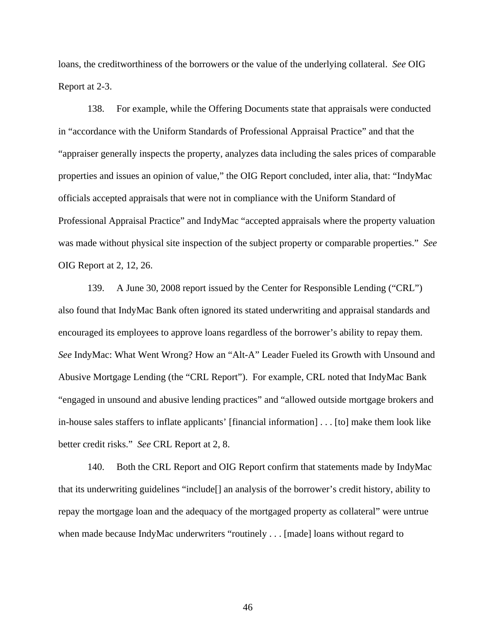loans, the creditworthiness of the borrowers or the value of the underlying collateral. *See* OIG Report at 2-3.

138. For example, while the Offering Documents state that appraisals were conducted in "accordance with the Uniform Standards of Professional Appraisal Practice" and that the "appraiser generally inspects the property, analyzes data including the sales prices of comparable properties and issues an opinion of value," the OIG Report concluded, inter alia, that: "IndyMac officials accepted appraisals that were not in compliance with the Uniform Standard of Professional Appraisal Practice" and IndyMac "accepted appraisals where the property valuation was made without physical site inspection of the subject property or comparable properties." *See* OIG Report at 2, 12, 26.

139. A June 30, 2008 report issued by the Center for Responsible Lending ("CRL") also found that IndyMac Bank often ignored its stated underwriting and appraisal standards and encouraged its employees to approve loans regardless of the borrower's ability to repay them. *See* IndyMac: What Went Wrong? How an "Alt-A" Leader Fueled its Growth with Unsound and Abusive Mortgage Lending (the "CRL Report"). For example, CRL noted that IndyMac Bank "engaged in unsound and abusive lending practices" and "allowed outside mortgage brokers and in-house sales staffers to inflate applicants' [financial information] . . . [to] make them look like better credit risks." *See* CRL Report at 2, 8.

140. Both the CRL Report and OIG Report confirm that statements made by IndyMac that its underwriting guidelines "include[] an analysis of the borrower's credit history, ability to repay the mortgage loan and the adequacy of the mortgaged property as collateral" were untrue when made because IndyMac underwriters "routinely . . . [made] loans without regard to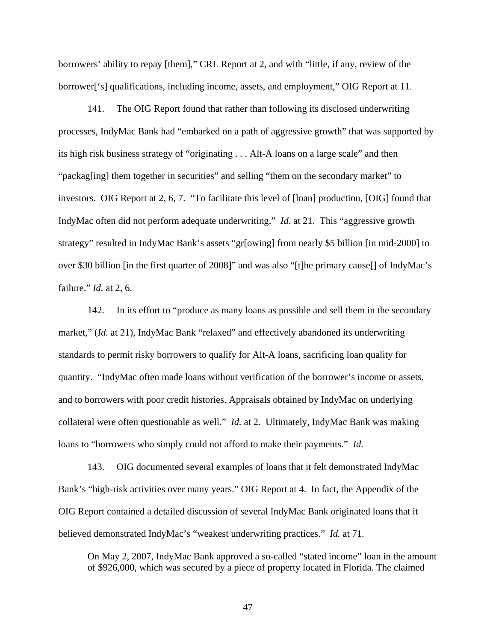borrowers' ability to repay [them]," CRL Report at 2, and with "little, if any, review of the borrower['s] qualifications, including income, assets, and employment," OIG Report at 11.

141. The OIG Report found that rather than following its disclosed underwriting processes, IndyMac Bank had "embarked on a path of aggressive growth" that was supported by its high risk business strategy of "originating . . . Alt-A loans on a large scale" and then "packag[ing] them together in securities" and selling "them on the secondary market" to investors. OIG Report at 2, 6, 7. "To facilitate this level of [loan] production, [OIG] found that IndyMac often did not perform adequate underwriting." *Id.* at 21. This "aggressive growth strategy" resulted in IndyMac Bank's assets "gr[owing] from nearly \$5 billion [in mid-2000] to over \$30 billion [in the first quarter of 2008]" and was also "[t]he primary cause[] of IndyMac's failure." *Id.* at 2, 6.

142. In its effort to "produce as many loans as possible and sell them in the secondary market," (*Id.* at 21), IndyMac Bank "relaxed" and effectively abandoned its underwriting standards to permit risky borrowers to qualify for Alt-A loans, sacrificing loan quality for quantity. "IndyMac often made loans without verification of the borrower's income or assets, and to borrowers with poor credit histories. Appraisals obtained by IndyMac on underlying collateral were often questionable as well." *Id.* at 2. Ultimately, IndyMac Bank was making loans to "borrowers who simply could not afford to make their payments." *Id.*

143. OIG documented several examples of loans that it felt demonstrated IndyMac Bank's "high-risk activities over many years." OIG Report at 4. In fact, the Appendix of the OIG Report contained a detailed discussion of several IndyMac Bank originated loans that it believed demonstrated IndyMac's "weakest underwriting practices." *Id.* at 71.

On May 2, 2007, IndyMac Bank approved a so-called "stated income" loan in the amount of \$926,000, which was secured by a piece of property located in Florida. The claimed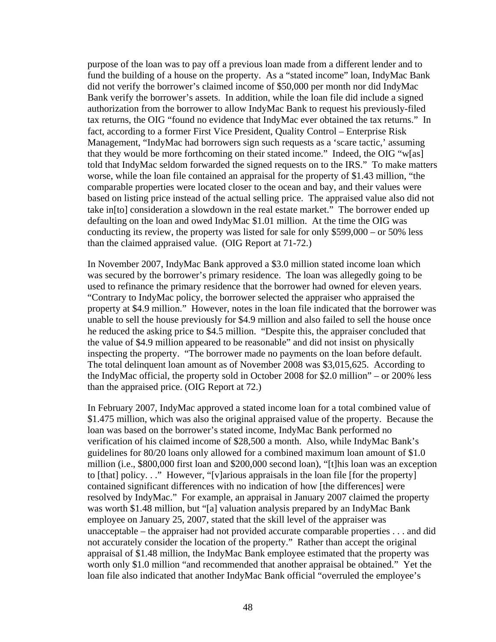purpose of the loan was to pay off a previous loan made from a different lender and to fund the building of a house on the property. As a "stated income" loan, IndyMac Bank did not verify the borrower's claimed income of \$50,000 per month nor did IndyMac Bank verify the borrower's assets. In addition, while the loan file did include a signed authorization from the borrower to allow IndyMac Bank to request his previously-filed tax returns, the OIG "found no evidence that IndyMac ever obtained the tax returns." In fact, according to a former First Vice President, Quality Control – Enterprise Risk Management, "IndyMac had borrowers sign such requests as a 'scare tactic,' assuming that they would be more forthcoming on their stated income." Indeed, the OIG "w[as] told that IndyMac seldom forwarded the signed requests on to the IRS." To make matters worse, while the loan file contained an appraisal for the property of \$1.43 million, "the comparable properties were located closer to the ocean and bay, and their values were based on listing price instead of the actual selling price. The appraised value also did not take in[to] consideration a slowdown in the real estate market." The borrower ended up defaulting on the loan and owed IndyMac \$1.01 million. At the time the OIG was conducting its review, the property was listed for sale for only \$599,000 – or 50% less than the claimed appraised value. (OIG Report at 71-72.)

In November 2007, IndyMac Bank approved a \$3.0 million stated income loan which was secured by the borrower's primary residence. The loan was allegedly going to be used to refinance the primary residence that the borrower had owned for eleven years. "Contrary to IndyMac policy, the borrower selected the appraiser who appraised the property at \$4.9 million." However, notes in the loan file indicated that the borrower was unable to sell the house previously for \$4.9 million and also failed to sell the house once he reduced the asking price to \$4.5 million. "Despite this, the appraiser concluded that the value of \$4.9 million appeared to be reasonable" and did not insist on physically inspecting the property. "The borrower made no payments on the loan before default. The total delinquent loan amount as of November 2008 was \$3,015,625. According to the IndyMac official, the property sold in October 2008 for \$2.0 million" – or 200% less than the appraised price. (OIG Report at 72.)

In February 2007, IndyMac approved a stated income loan for a total combined value of \$1.475 million, which was also the original appraised value of the property. Because the loan was based on the borrower's stated income, IndyMac Bank performed no verification of his claimed income of \$28,500 a month. Also, while IndyMac Bank's guidelines for 80/20 loans only allowed for a combined maximum loan amount of \$1.0 million (i.e., \$800,000 first loan and \$200,000 second loan), "[t]his loan was an exception to [that] policy. . ." However, "[v]arious appraisals in the loan file [for the property] contained significant differences with no indication of how [the differences] were resolved by IndyMac." For example, an appraisal in January 2007 claimed the property was worth \$1.48 million, but "[a] valuation analysis prepared by an IndyMac Bank employee on January 25, 2007, stated that the skill level of the appraiser was unacceptable – the appraiser had not provided accurate comparable properties . . . and did not accurately consider the location of the property." Rather than accept the original appraisal of \$1.48 million, the IndyMac Bank employee estimated that the property was worth only \$1.0 million "and recommended that another appraisal be obtained." Yet the loan file also indicated that another IndyMac Bank official "overruled the employee's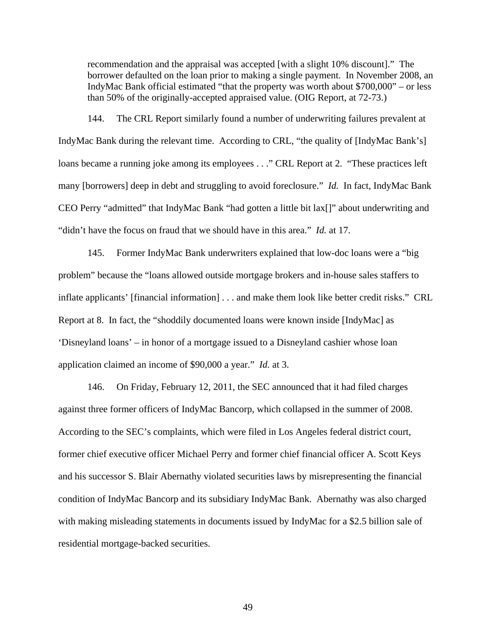recommendation and the appraisal was accepted [with a slight 10% discount]." The borrower defaulted on the loan prior to making a single payment. In November 2008, an IndyMac Bank official estimated "that the property was worth about \$700,000" – or less than 50% of the originally-accepted appraised value. (OIG Report, at 72-73.)

144. The CRL Report similarly found a number of underwriting failures prevalent at IndyMac Bank during the relevant time. According to CRL, "the quality of [IndyMac Bank's] loans became a running joke among its employees . . ." CRL Report at 2. "These practices left many [borrowers] deep in debt and struggling to avoid foreclosure." *Id.* In fact, IndyMac Bank CEO Perry "admitted" that IndyMac Bank "had gotten a little bit lax[]" about underwriting and "didn't have the focus on fraud that we should have in this area." *Id.* at 17.

145. Former IndyMac Bank underwriters explained that low-doc loans were a "big problem" because the "loans allowed outside mortgage brokers and in-house sales staffers to inflate applicants' [financial information] . . . and make them look like better credit risks." CRL Report at 8. In fact, the "shoddily documented loans were known inside [IndyMac] as 'Disneyland loans' – in honor of a mortgage issued to a Disneyland cashier whose loan application claimed an income of \$90,000 a year." *Id.* at 3.

146. On Friday, February 12, 2011, the SEC announced that it had filed charges against three former officers of IndyMac Bancorp, which collapsed in the summer of 2008. According to the SEC's complaints, which were filed in Los Angeles federal district court, former chief executive officer Michael Perry and former chief financial officer A. Scott Keys and his successor S. Blair Abernathy violated securities laws by misrepresenting the financial condition of IndyMac Bancorp and its subsidiary IndyMac Bank. Abernathy was also charged with making misleading statements in documents issued by IndyMac for a \$2.5 billion sale of residential mortgage-backed securities.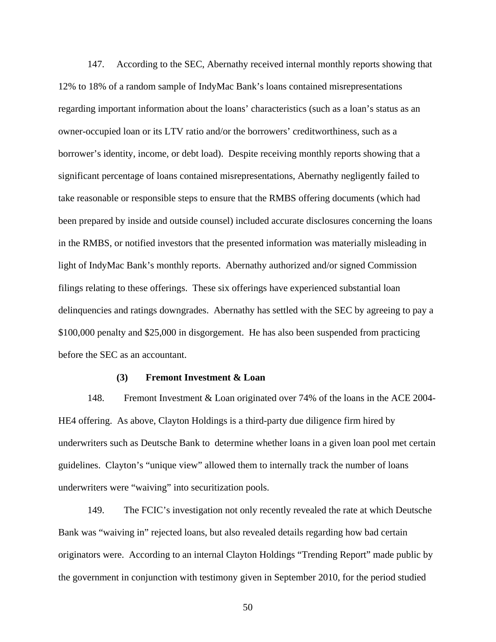147. According to the SEC, Abernathy received internal monthly reports showing that 12% to 18% of a random sample of IndyMac Bank's loans contained misrepresentations regarding important information about the loans' characteristics (such as a loan's status as an owner-occupied loan or its LTV ratio and/or the borrowers' creditworthiness, such as a borrower's identity, income, or debt load). Despite receiving monthly reports showing that a significant percentage of loans contained misrepresentations, Abernathy negligently failed to take reasonable or responsible steps to ensure that the RMBS offering documents (which had been prepared by inside and outside counsel) included accurate disclosures concerning the loans in the RMBS, or notified investors that the presented information was materially misleading in light of IndyMac Bank's monthly reports. Abernathy authorized and/or signed Commission filings relating to these offerings. These six offerings have experienced substantial loan delinquencies and ratings downgrades. Abernathy has settled with the SEC by agreeing to pay a \$100,000 penalty and \$25,000 in disgorgement. He has also been suspended from practicing before the SEC as an accountant.

#### **(3) Fremont Investment & Loan**

148. Fremont Investment & Loan originated over 74% of the loans in the ACE 2004- HE4 offering. As above, Clayton Holdings is a third-party due diligence firm hired by underwriters such as Deutsche Bank to determine whether loans in a given loan pool met certain guidelines. Clayton's "unique view" allowed them to internally track the number of loans underwriters were "waiving" into securitization pools.

149. The FCIC's investigation not only recently revealed the rate at which Deutsche Bank was "waiving in" rejected loans, but also revealed details regarding how bad certain originators were. According to an internal Clayton Holdings "Trending Report" made public by the government in conjunction with testimony given in September 2010, for the period studied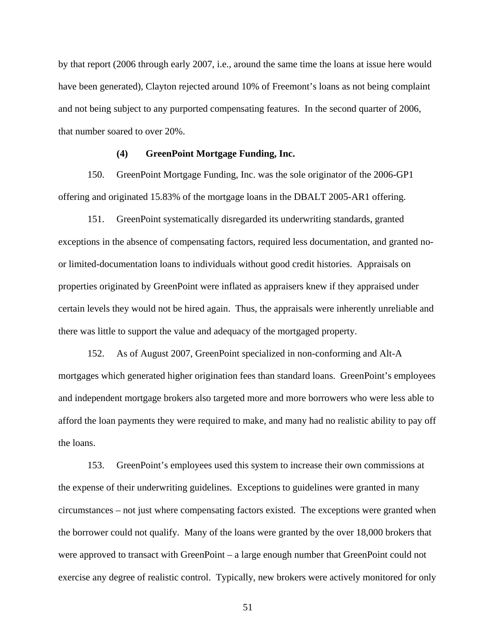by that report (2006 through early 2007, i.e., around the same time the loans at issue here would have been generated), Clayton rejected around 10% of Freemont's loans as not being complaint and not being subject to any purported compensating features. In the second quarter of 2006, that number soared to over 20%.

### **(4) GreenPoint Mortgage Funding, Inc.**

150. GreenPoint Mortgage Funding, Inc. was the sole originator of the 2006-GP1 offering and originated 15.83% of the mortgage loans in the DBALT 2005-AR1 offering.

151. GreenPoint systematically disregarded its underwriting standards, granted exceptions in the absence of compensating factors, required less documentation, and granted noor limited-documentation loans to individuals without good credit histories. Appraisals on properties originated by GreenPoint were inflated as appraisers knew if they appraised under certain levels they would not be hired again. Thus, the appraisals were inherently unreliable and there was little to support the value and adequacy of the mortgaged property.

152. As of August 2007, GreenPoint specialized in non-conforming and Alt-A mortgages which generated higher origination fees than standard loans. GreenPoint's employees and independent mortgage brokers also targeted more and more borrowers who were less able to afford the loan payments they were required to make, and many had no realistic ability to pay off the loans.

153. GreenPoint's employees used this system to increase their own commissions at the expense of their underwriting guidelines. Exceptions to guidelines were granted in many circumstances – not just where compensating factors existed. The exceptions were granted when the borrower could not qualify. Many of the loans were granted by the over 18,000 brokers that were approved to transact with GreenPoint – a large enough number that GreenPoint could not exercise any degree of realistic control. Typically, new brokers were actively monitored for only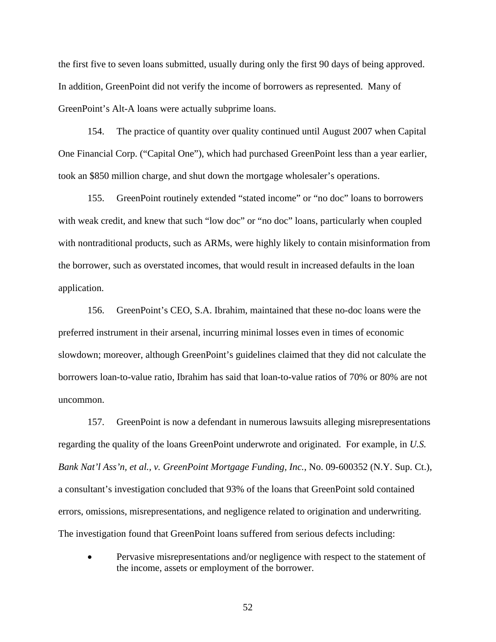the first five to seven loans submitted, usually during only the first 90 days of being approved. In addition, GreenPoint did not verify the income of borrowers as represented. Many of GreenPoint's Alt-A loans were actually subprime loans.

154. The practice of quantity over quality continued until August 2007 when Capital One Financial Corp. ("Capital One"), which had purchased GreenPoint less than a year earlier, took an \$850 million charge, and shut down the mortgage wholesaler's operations.

155. GreenPoint routinely extended "stated income" or "no doc" loans to borrowers with weak credit, and knew that such "low doc" or "no doc" loans, particularly when coupled with nontraditional products, such as ARMs, were highly likely to contain misinformation from the borrower, such as overstated incomes, that would result in increased defaults in the loan application.

156. GreenPoint's CEO, S.A. Ibrahim, maintained that these no-doc loans were the preferred instrument in their arsenal, incurring minimal losses even in times of economic slowdown; moreover, although GreenPoint's guidelines claimed that they did not calculate the borrowers loan-to-value ratio, Ibrahim has said that loan-to-value ratios of 70% or 80% are not uncommon.

157. GreenPoint is now a defendant in numerous lawsuits alleging misrepresentations regarding the quality of the loans GreenPoint underwrote and originated. For example, in *U.S. Bank Nat'l Ass'n, et al., v. GreenPoint Mortgage Funding, Inc.*, No. 09-600352 (N.Y. Sup. Ct.), a consultant's investigation concluded that 93% of the loans that GreenPoint sold contained errors, omissions, misrepresentations, and negligence related to origination and underwriting. The investigation found that GreenPoint loans suffered from serious defects including:

• Pervasive misrepresentations and/or negligence with respect to the statement of the income, assets or employment of the borrower.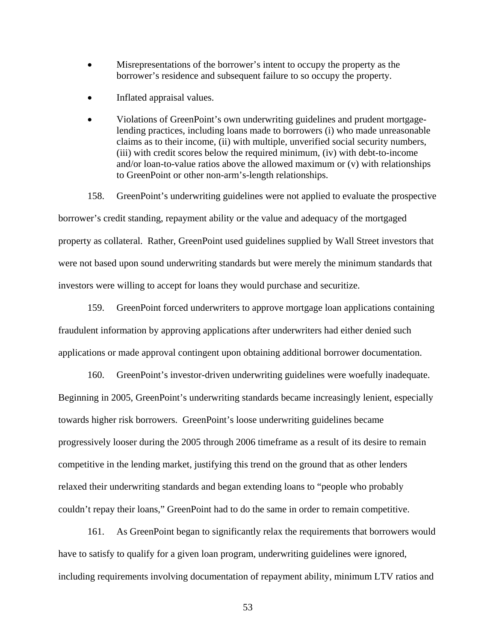- Misrepresentations of the borrower's intent to occupy the property as the borrower's residence and subsequent failure to so occupy the property.
- Inflated appraisal values.
- Violations of GreenPoint's own underwriting guidelines and prudent mortgagelending practices, including loans made to borrowers (i) who made unreasonable claims as to their income, (ii) with multiple, unverified social security numbers, (iii) with credit scores below the required minimum, (iv) with debt-to-income and/or loan-to-value ratios above the allowed maximum or (v) with relationships to GreenPoint or other non-arm's-length relationships.

158. GreenPoint's underwriting guidelines were not applied to evaluate the prospective borrower's credit standing, repayment ability or the value and adequacy of the mortgaged property as collateral. Rather, GreenPoint used guidelines supplied by Wall Street investors that were not based upon sound underwriting standards but were merely the minimum standards that investors were willing to accept for loans they would purchase and securitize.

159. GreenPoint forced underwriters to approve mortgage loan applications containing fraudulent information by approving applications after underwriters had either denied such applications or made approval contingent upon obtaining additional borrower documentation.

160. GreenPoint's investor-driven underwriting guidelines were woefully inadequate. Beginning in 2005, GreenPoint's underwriting standards became increasingly lenient, especially towards higher risk borrowers. GreenPoint's loose underwriting guidelines became progressively looser during the 2005 through 2006 timeframe as a result of its desire to remain competitive in the lending market, justifying this trend on the ground that as other lenders relaxed their underwriting standards and began extending loans to "people who probably couldn't repay their loans," GreenPoint had to do the same in order to remain competitive.

161. As GreenPoint began to significantly relax the requirements that borrowers would have to satisfy to qualify for a given loan program, underwriting guidelines were ignored, including requirements involving documentation of repayment ability, minimum LTV ratios and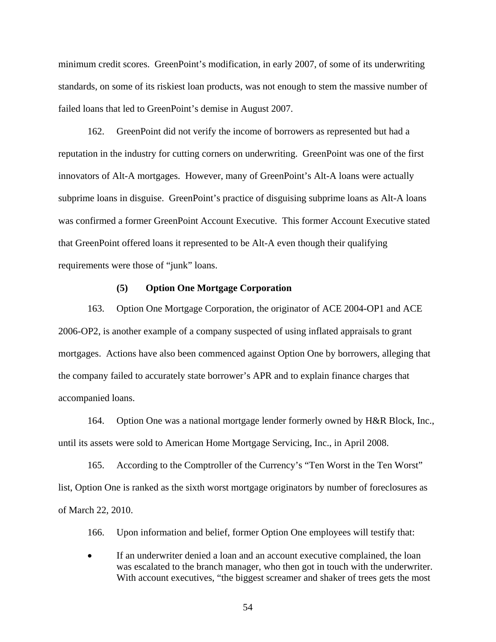minimum credit scores. GreenPoint's modification, in early 2007, of some of its underwriting standards, on some of its riskiest loan products, was not enough to stem the massive number of failed loans that led to GreenPoint's demise in August 2007.

162. GreenPoint did not verify the income of borrowers as represented but had a reputation in the industry for cutting corners on underwriting. GreenPoint was one of the first innovators of Alt-A mortgages. However, many of GreenPoint's Alt-A loans were actually subprime loans in disguise. GreenPoint's practice of disguising subprime loans as Alt-A loans was confirmed a former GreenPoint Account Executive. This former Account Executive stated that GreenPoint offered loans it represented to be Alt-A even though their qualifying requirements were those of "junk" loans.

#### **(5) Option One Mortgage Corporation**

163. Option One Mortgage Corporation, the originator of ACE 2004-OP1 and ACE 2006-OP2, is another example of a company suspected of using inflated appraisals to grant mortgages. Actions have also been commenced against Option One by borrowers, alleging that the company failed to accurately state borrower's APR and to explain finance charges that accompanied loans.

164. Option One was a national mortgage lender formerly owned by H&R Block, Inc., until its assets were sold to American Home Mortgage Servicing, Inc., in April 2008.

165. According to the Comptroller of the Currency's "Ten Worst in the Ten Worst" list, Option One is ranked as the sixth worst mortgage originators by number of foreclosures as of March 22, 2010.

166. Upon information and belief, former Option One employees will testify that:

• If an underwriter denied a loan and an account executive complained, the loan was escalated to the branch manager, who then got in touch with the underwriter. With account executives, "the biggest screamer and shaker of trees gets the most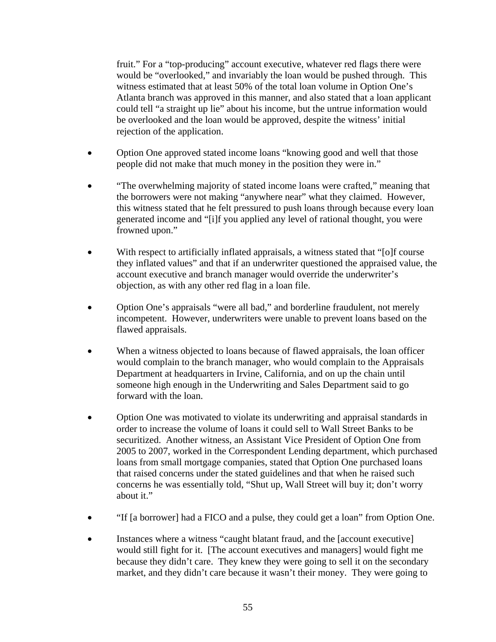fruit." For a "top-producing" account executive, whatever red flags there were would be "overlooked," and invariably the loan would be pushed through. This witness estimated that at least 50% of the total loan volume in Option One's Atlanta branch was approved in this manner, and also stated that a loan applicant could tell "a straight up lie" about his income, but the untrue information would be overlooked and the loan would be approved, despite the witness' initial rejection of the application.

- Option One approved stated income loans "knowing good and well that those people did not make that much money in the position they were in."
- "The overwhelming majority of stated income loans were crafted," meaning that the borrowers were not making "anywhere near" what they claimed. However, this witness stated that he felt pressured to push loans through because every loan generated income and "[i]f you applied any level of rational thought, you were frowned upon."
- With respect to artificially inflated appraisals, a witness stated that "[o]f course they inflated values" and that if an underwriter questioned the appraised value, the account executive and branch manager would override the underwriter's objection, as with any other red flag in a loan file.
- Option One's appraisals "were all bad," and borderline fraudulent, not merely incompetent. However, underwriters were unable to prevent loans based on the flawed appraisals.
- When a witness objected to loans because of flawed appraisals, the loan officer would complain to the branch manager, who would complain to the Appraisals Department at headquarters in Irvine, California, and on up the chain until someone high enough in the Underwriting and Sales Department said to go forward with the loan.
- Option One was motivated to violate its underwriting and appraisal standards in order to increase the volume of loans it could sell to Wall Street Banks to be securitized. Another witness, an Assistant Vice President of Option One from 2005 to 2007, worked in the Correspondent Lending department, which purchased loans from small mortgage companies, stated that Option One purchased loans that raised concerns under the stated guidelines and that when he raised such concerns he was essentially told, "Shut up, Wall Street will buy it; don't worry about it."
- "If [a borrower] had a FICO and a pulse, they could get a loan" from Option One.
- Instances where a witness "caught blatant fraud, and the [account executive] would still fight for it. [The account executives and managers] would fight me because they didn't care. They knew they were going to sell it on the secondary market, and they didn't care because it wasn't their money. They were going to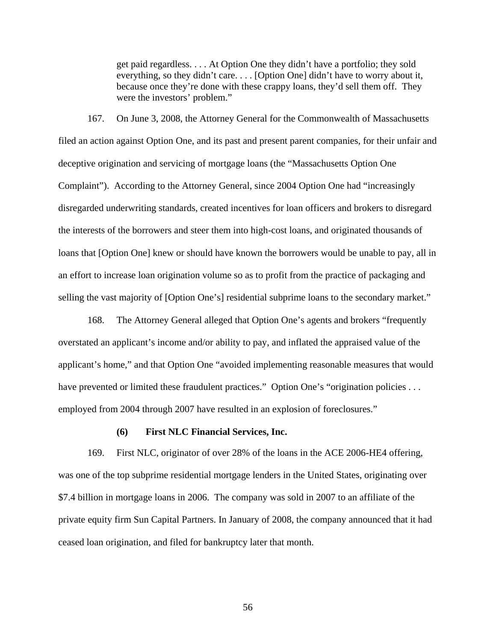get paid regardless. . . . At Option One they didn't have a portfolio; they sold everything, so they didn't care. . . . [Option One] didn't have to worry about it, because once they're done with these crappy loans, they'd sell them off. They were the investors' problem."

167. On June 3, 2008, the Attorney General for the Commonwealth of Massachusetts filed an action against Option One, and its past and present parent companies, for their unfair and deceptive origination and servicing of mortgage loans (the "Massachusetts Option One Complaint"). According to the Attorney General, since 2004 Option One had "increasingly disregarded underwriting standards, created incentives for loan officers and brokers to disregard the interests of the borrowers and steer them into high-cost loans, and originated thousands of loans that [Option One] knew or should have known the borrowers would be unable to pay, all in an effort to increase loan origination volume so as to profit from the practice of packaging and selling the vast majority of [Option One's] residential subprime loans to the secondary market."

168. The Attorney General alleged that Option One's agents and brokers "frequently overstated an applicant's income and/or ability to pay, and inflated the appraised value of the applicant's home," and that Option One "avoided implementing reasonable measures that would have prevented or limited these fraudulent practices." Option One's "origination policies ... employed from 2004 through 2007 have resulted in an explosion of foreclosures."

#### **(6) First NLC Financial Services, Inc.**

169. First NLC, originator of over 28% of the loans in the ACE 2006-HE4 offering, was one of the top subprime residential mortgage lenders in the United States, originating over \$7.4 billion in mortgage loans in 2006. The company was sold in 2007 to an affiliate of the private equity firm Sun Capital Partners. In January of 2008, the company announced that it had ceased loan origination, and filed for bankruptcy later that month.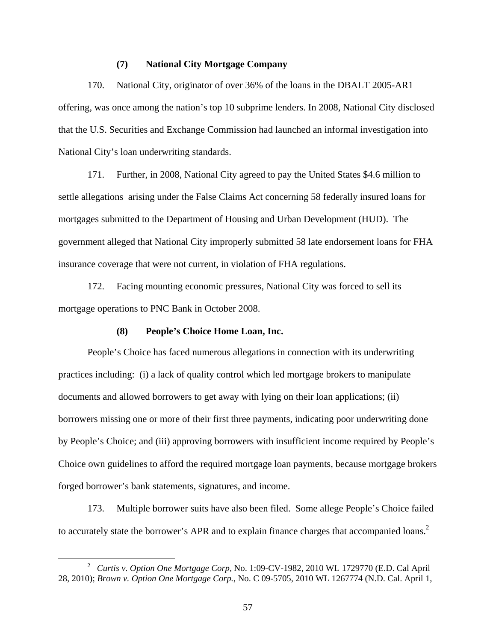### **(7) National City Mortgage Company**

170. National City, originator of over 36% of the loans in the DBALT 2005-AR1 offering, was once among the nation's top 10 subprime lenders. In 2008, National City disclosed that the U.S. Securities and Exchange Commission had launched an informal investigation into National City's loan underwriting standards.

171. Further, in 2008, National City agreed to pay the United States \$4.6 million to settle allegations arising under the False Claims Act concerning 58 federally insured loans for mortgages submitted to the Department of Housing and Urban Development (HUD). The government alleged that National City improperly submitted 58 late endorsement loans for FHA insurance coverage that were not current, in violation of FHA regulations.

172. Facing mounting economic pressures, National City was forced to sell its mortgage operations to PNC Bank in October 2008.

## **(8) People's Choice Home Loan, Inc.**

People's Choice has faced numerous allegations in connection with its underwriting practices including: (i) a lack of quality control which led mortgage brokers to manipulate documents and allowed borrowers to get away with lying on their loan applications; (ii) borrowers missing one or more of their first three payments, indicating poor underwriting done by People's Choice; and (iii) approving borrowers with insufficient income required by People's Choice own guidelines to afford the required mortgage loan payments, because mortgage brokers forged borrower's bank statements, signatures, and income.

173. Multiple borrower suits have also been filed. Some allege People's Choice failed to accurately state the borrower's APR and to explain finance charges that accompanied loans.<sup>2</sup>

 $\overline{\phantom{a}}$  *Curtis v. Option One Mortgage Corp,* No. 1:09-CV-1982, 2010 WL 1729770 (E.D. Cal April 28, 2010); *Brown v. Option One Mortgage Corp.*, No. C 09-5705, 2010 WL 1267774 (N.D. Cal. April 1,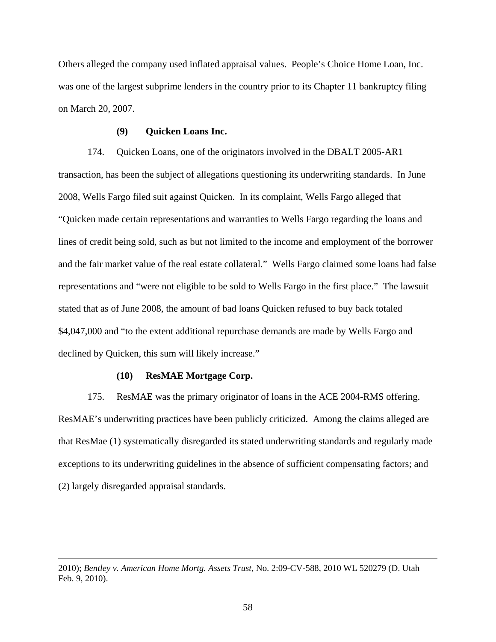Others alleged the company used inflated appraisal values. People's Choice Home Loan, Inc. was one of the largest subprime lenders in the country prior to its Chapter 11 bankruptcy filing on March 20, 2007.

### **(9) Quicken Loans Inc.**

174. Quicken Loans, one of the originators involved in the DBALT 2005-AR1 transaction, has been the subject of allegations questioning its underwriting standards. In June 2008, Wells Fargo filed suit against Quicken. In its complaint, Wells Fargo alleged that "Quicken made certain representations and warranties to Wells Fargo regarding the loans and lines of credit being sold, such as but not limited to the income and employment of the borrower and the fair market value of the real estate collateral." Wells Fargo claimed some loans had false representations and "were not eligible to be sold to Wells Fargo in the first place." The lawsuit stated that as of June 2008, the amount of bad loans Quicken refused to buy back totaled \$4,047,000 and "to the extent additional repurchase demands are made by Wells Fargo and declined by Quicken, this sum will likely increase."

# **(10) ResMAE Mortgage Corp.**

 $\overline{a}$ 

175. ResMAE was the primary originator of loans in the ACE 2004-RMS offering. ResMAE's underwriting practices have been publicly criticized. Among the claims alleged are that ResMae (1) systematically disregarded its stated underwriting standards and regularly made exceptions to its underwriting guidelines in the absence of sufficient compensating factors; and (2) largely disregarded appraisal standards.

<sup>2010);</sup> *Bentley v. American Home Mortg. Assets Trust*, No. 2:09-CV-588, 2010 WL 520279 (D. Utah Feb. 9, 2010).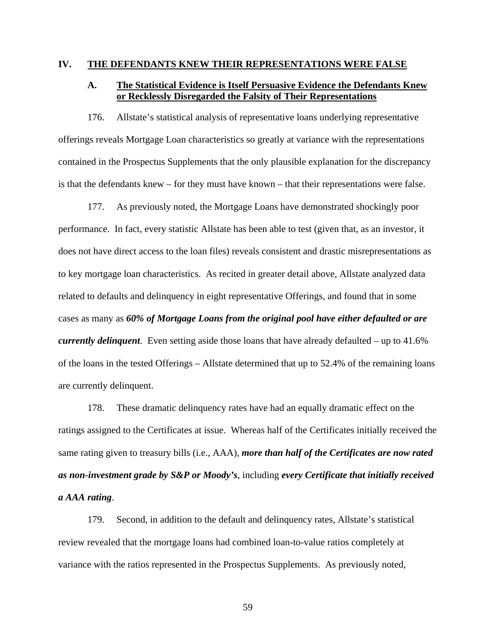## **IV. THE DEFENDANTS KNEW THEIR REPRESENTATIONS WERE FALSE**

# **A. The Statistical Evidence is Itself Persuasive Evidence the Defendants Knew or Recklessly Disregarded the Falsity of Their Representations**

176. Allstate's statistical analysis of representative loans underlying representative offerings reveals Mortgage Loan characteristics so greatly at variance with the representations contained in the Prospectus Supplements that the only plausible explanation for the discrepancy is that the defendants knew – for they must have known – that their representations were false.

177. As previously noted, the Mortgage Loans have demonstrated shockingly poor performance. In fact, every statistic Allstate has been able to test (given that, as an investor, it does not have direct access to the loan files) reveals consistent and drastic misrepresentations as to key mortgage loan characteristics. As recited in greater detail above, Allstate analyzed data related to defaults and delinquency in eight representative Offerings, and found that in some cases as many as *60% of Mortgage Loans from the original pool have either defaulted or are currently delinquent*. Even setting aside those loans that have already defaulted – up to 41.6% of the loans in the tested Offerings – Allstate determined that up to 52.4% of the remaining loans are currently delinquent.

178. These dramatic delinquency rates have had an equally dramatic effect on the ratings assigned to the Certificates at issue. Whereas half of the Certificates initially received the same rating given to treasury bills (i.e., AAA), *more than half of the Certificates are now rated as non-investment grade by S&P or Moody's*, including *every Certificate that initially received a AAA rating*.

179. Second, in addition to the default and delinquency rates, Allstate's statistical review revealed that the mortgage loans had combined loan-to-value ratios completely at variance with the ratios represented in the Prospectus Supplements. As previously noted,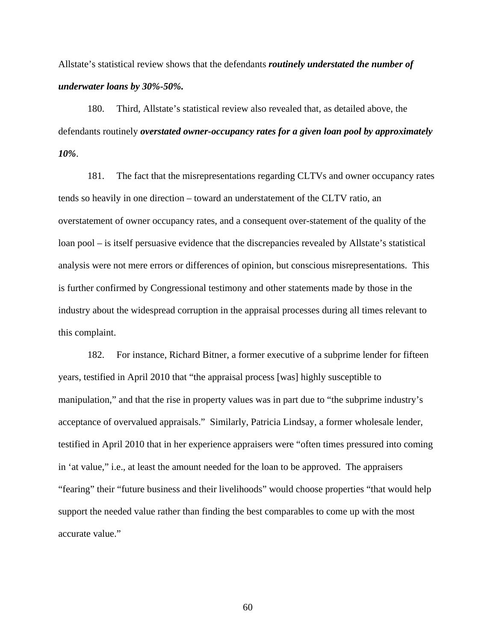Allstate's statistical review shows that the defendants *routinely understated the number of underwater loans by 30%-50%.* 

180. Third, Allstate's statistical review also revealed that, as detailed above, the defendants routinely *overstated owner-occupancy rates for a given loan pool by approximately 10%*.

181. The fact that the misrepresentations regarding CLTVs and owner occupancy rates tends so heavily in one direction – toward an understatement of the CLTV ratio, an overstatement of owner occupancy rates, and a consequent over-statement of the quality of the loan pool – is itself persuasive evidence that the discrepancies revealed by Allstate's statistical analysis were not mere errors or differences of opinion, but conscious misrepresentations. This is further confirmed by Congressional testimony and other statements made by those in the industry about the widespread corruption in the appraisal processes during all times relevant to this complaint.

182. For instance, Richard Bitner, a former executive of a subprime lender for fifteen years, testified in April 2010 that "the appraisal process [was] highly susceptible to manipulation," and that the rise in property values was in part due to "the subprime industry's acceptance of overvalued appraisals." Similarly, Patricia Lindsay, a former wholesale lender, testified in April 2010 that in her experience appraisers were "often times pressured into coming in 'at value," i.e., at least the amount needed for the loan to be approved. The appraisers "fearing" their "future business and their livelihoods" would choose properties "that would help support the needed value rather than finding the best comparables to come up with the most accurate value."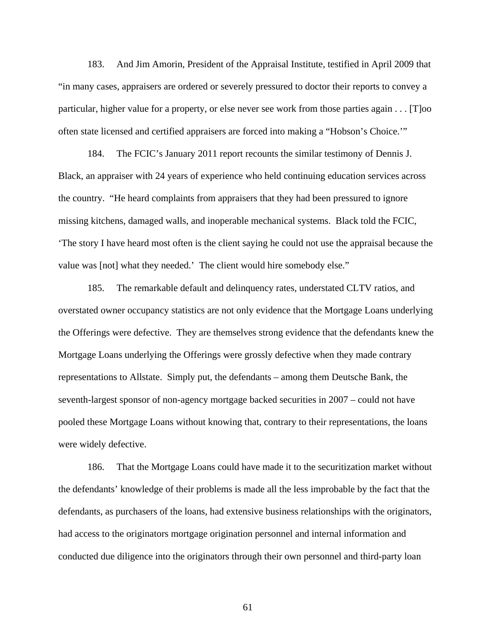183. And Jim Amorin, President of the Appraisal Institute, testified in April 2009 that "in many cases, appraisers are ordered or severely pressured to doctor their reports to convey a particular, higher value for a property, or else never see work from those parties again . . . [T]oo often state licensed and certified appraisers are forced into making a "Hobson's Choice.'"

184. The FCIC's January 2011 report recounts the similar testimony of Dennis J. Black, an appraiser with 24 years of experience who held continuing education services across the country. "He heard complaints from appraisers that they had been pressured to ignore missing kitchens, damaged walls, and inoperable mechanical systems. Black told the FCIC, 'The story I have heard most often is the client saying he could not use the appraisal because the value was [not] what they needed.' The client would hire somebody else."

185. The remarkable default and delinquency rates, understated CLTV ratios, and overstated owner occupancy statistics are not only evidence that the Mortgage Loans underlying the Offerings were defective. They are themselves strong evidence that the defendants knew the Mortgage Loans underlying the Offerings were grossly defective when they made contrary representations to Allstate. Simply put, the defendants – among them Deutsche Bank, the seventh-largest sponsor of non-agency mortgage backed securities in 2007 – could not have pooled these Mortgage Loans without knowing that, contrary to their representations, the loans were widely defective.

186. That the Mortgage Loans could have made it to the securitization market without the defendants' knowledge of their problems is made all the less improbable by the fact that the defendants, as purchasers of the loans, had extensive business relationships with the originators, had access to the originators mortgage origination personnel and internal information and conducted due diligence into the originators through their own personnel and third-party loan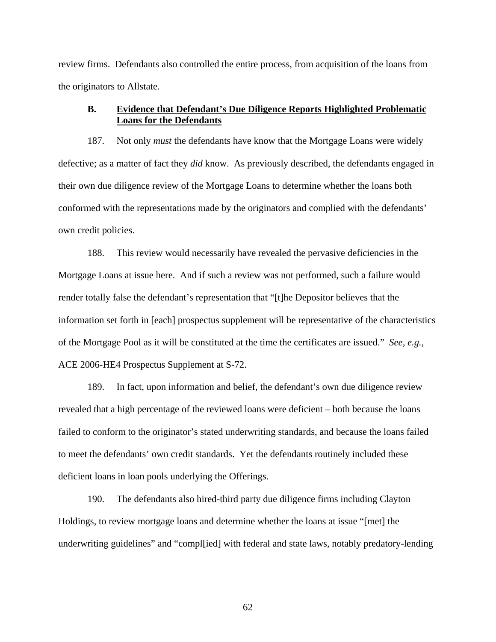review firms. Defendants also controlled the entire process, from acquisition of the loans from the originators to Allstate.

# **B. Evidence that Defendant's Due Diligence Reports Highlighted Problematic Loans for the Defendants**

187. Not only *must* the defendants have know that the Mortgage Loans were widely defective; as a matter of fact they *did* know. As previously described, the defendants engaged in their own due diligence review of the Mortgage Loans to determine whether the loans both conformed with the representations made by the originators and complied with the defendants' own credit policies.

188. This review would necessarily have revealed the pervasive deficiencies in the Mortgage Loans at issue here. And if such a review was not performed, such a failure would render totally false the defendant's representation that "[t]he Depositor believes that the information set forth in [each] prospectus supplement will be representative of the characteristics of the Mortgage Pool as it will be constituted at the time the certificates are issued." *See, e.g.*, ACE 2006-HE4 Prospectus Supplement at S-72.

189. In fact, upon information and belief, the defendant's own due diligence review revealed that a high percentage of the reviewed loans were deficient – both because the loans failed to conform to the originator's stated underwriting standards, and because the loans failed to meet the defendants' own credit standards. Yet the defendants routinely included these deficient loans in loan pools underlying the Offerings.

190. The defendants also hired-third party due diligence firms including Clayton Holdings, to review mortgage loans and determine whether the loans at issue "[met] the underwriting guidelines" and "compl[ied] with federal and state laws, notably predatory-lending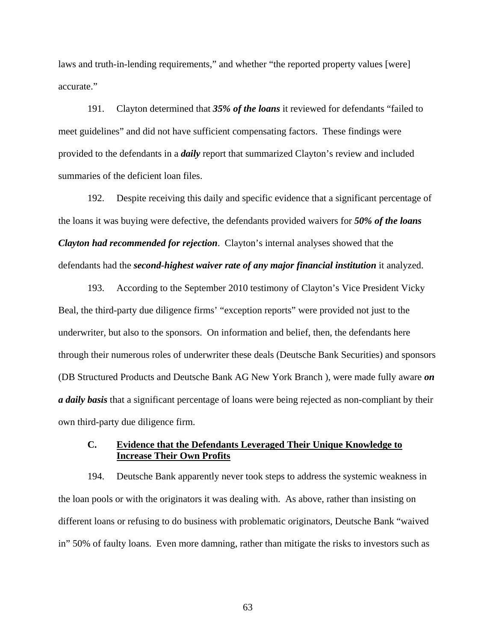laws and truth-in-lending requirements," and whether "the reported property values [were] accurate."

191. Clayton determined that *35% of the loans* it reviewed for defendants "failed to meet guidelines" and did not have sufficient compensating factors. These findings were provided to the defendants in a *daily* report that summarized Clayton's review and included summaries of the deficient loan files.

192. Despite receiving this daily and specific evidence that a significant percentage of the loans it was buying were defective, the defendants provided waivers for *50% of the loans Clayton had recommended for rejection*. Clayton's internal analyses showed that the defendants had the *second-highest waiver rate of any major financial institution* it analyzed.

193. According to the September 2010 testimony of Clayton's Vice President Vicky Beal, the third-party due diligence firms' "exception reports" were provided not just to the underwriter, but also to the sponsors. On information and belief, then, the defendants here through their numerous roles of underwriter these deals (Deutsche Bank Securities) and sponsors (DB Structured Products and Deutsche Bank AG New York Branch ), were made fully aware *on a daily basis* that a significant percentage of loans were being rejected as non-compliant by their own third-party due diligence firm.

## **C. Evidence that the Defendants Leveraged Their Unique Knowledge to Increase Their Own Profits**

194. Deutsche Bank apparently never took steps to address the systemic weakness in the loan pools or with the originators it was dealing with. As above, rather than insisting on different loans or refusing to do business with problematic originators, Deutsche Bank "waived in" 50% of faulty loans. Even more damning, rather than mitigate the risks to investors such as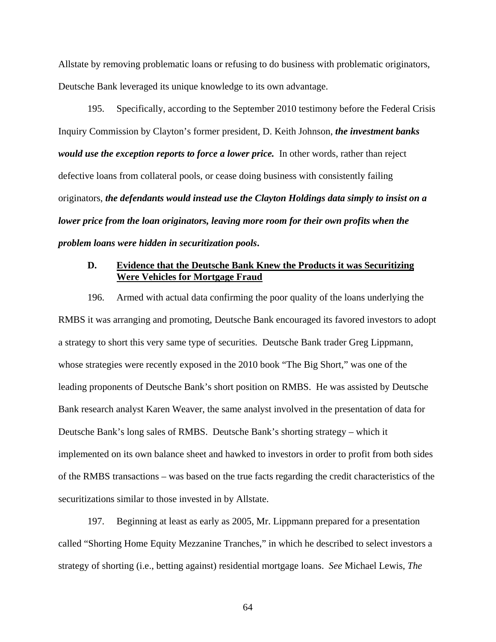Allstate by removing problematic loans or refusing to do business with problematic originators, Deutsche Bank leveraged its unique knowledge to its own advantage.

195. Specifically, according to the September 2010 testimony before the Federal Crisis Inquiry Commission by Clayton's former president, D. Keith Johnson, *the investment banks would use the exception reports to force a lower price.* In other words, rather than reject defective loans from collateral pools, or cease doing business with consistently failing originators, *the defendants would instead use the Clayton Holdings data simply to insist on a lower price from the loan originators, leaving more room for their own profits when the problem loans were hidden in securitization pools***.** 

# **D. Evidence that the Deutsche Bank Knew the Products it was Securitizing Were Vehicles for Mortgage Fraud**

196. Armed with actual data confirming the poor quality of the loans underlying the RMBS it was arranging and promoting, Deutsche Bank encouraged its favored investors to adopt a strategy to short this very same type of securities. Deutsche Bank trader Greg Lippmann, whose strategies were recently exposed in the 2010 book "The Big Short," was one of the leading proponents of Deutsche Bank's short position on RMBS. He was assisted by Deutsche Bank research analyst Karen Weaver, the same analyst involved in the presentation of data for Deutsche Bank's long sales of RMBS. Deutsche Bank's shorting strategy – which it implemented on its own balance sheet and hawked to investors in order to profit from both sides of the RMBS transactions – was based on the true facts regarding the credit characteristics of the securitizations similar to those invested in by Allstate.

197. Beginning at least as early as 2005, Mr. Lippmann prepared for a presentation called "Shorting Home Equity Mezzanine Tranches," in which he described to select investors a strategy of shorting (i.e., betting against) residential mortgage loans. *See* Michael Lewis, *The*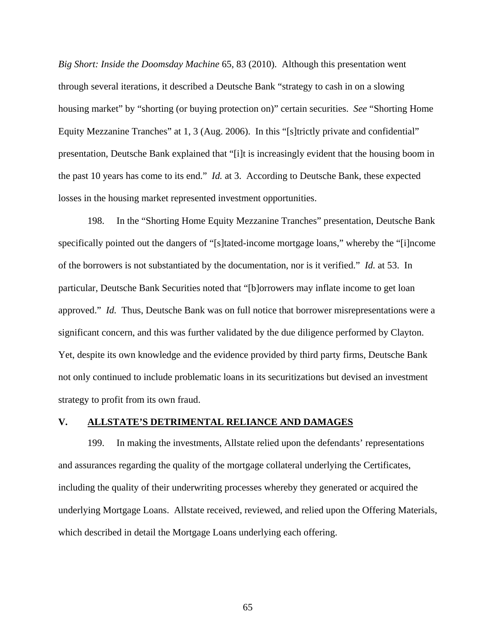*Big Short: Inside the Doomsday Machine* 65, 83 (2010). Although this presentation went through several iterations, it described a Deutsche Bank "strategy to cash in on a slowing housing market" by "shorting (or buying protection on)" certain securities. *See* "Shorting Home Equity Mezzanine Tranches" at 1, 3 (Aug. 2006). In this "[s]trictly private and confidential" presentation, Deutsche Bank explained that "[i]t is increasingly evident that the housing boom in the past 10 years has come to its end." *Id.* at 3. According to Deutsche Bank, these expected losses in the housing market represented investment opportunities.

198. In the "Shorting Home Equity Mezzanine Tranches" presentation, Deutsche Bank specifically pointed out the dangers of "[s]tated-income mortgage loans," whereby the "[i]ncome of the borrowers is not substantiated by the documentation, nor is it verified." *Id.* at 53. In particular, Deutsche Bank Securities noted that "[b]orrowers may inflate income to get loan approved." *Id.* Thus, Deutsche Bank was on full notice that borrower misrepresentations were a significant concern, and this was further validated by the due diligence performed by Clayton. Yet, despite its own knowledge and the evidence provided by third party firms, Deutsche Bank not only continued to include problematic loans in its securitizations but devised an investment strategy to profit from its own fraud.

## **V. ALLSTATE'S DETRIMENTAL RELIANCE AND DAMAGES**

199. In making the investments, Allstate relied upon the defendants' representations and assurances regarding the quality of the mortgage collateral underlying the Certificates, including the quality of their underwriting processes whereby they generated or acquired the underlying Mortgage Loans. Allstate received, reviewed, and relied upon the Offering Materials, which described in detail the Mortgage Loans underlying each offering.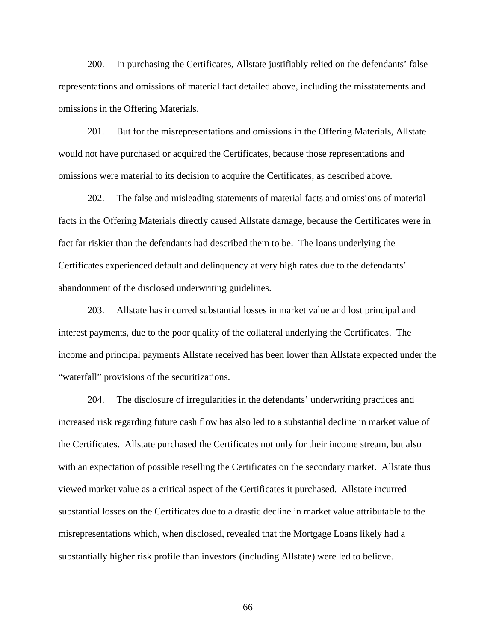200. In purchasing the Certificates, Allstate justifiably relied on the defendants' false representations and omissions of material fact detailed above, including the misstatements and omissions in the Offering Materials.

201. But for the misrepresentations and omissions in the Offering Materials, Allstate would not have purchased or acquired the Certificates, because those representations and omissions were material to its decision to acquire the Certificates, as described above.

202. The false and misleading statements of material facts and omissions of material facts in the Offering Materials directly caused Allstate damage, because the Certificates were in fact far riskier than the defendants had described them to be. The loans underlying the Certificates experienced default and delinquency at very high rates due to the defendants' abandonment of the disclosed underwriting guidelines.

203. Allstate has incurred substantial losses in market value and lost principal and interest payments, due to the poor quality of the collateral underlying the Certificates. The income and principal payments Allstate received has been lower than Allstate expected under the "waterfall" provisions of the securitizations.

204. The disclosure of irregularities in the defendants' underwriting practices and increased risk regarding future cash flow has also led to a substantial decline in market value of the Certificates. Allstate purchased the Certificates not only for their income stream, but also with an expectation of possible reselling the Certificates on the secondary market. Allstate thus viewed market value as a critical aspect of the Certificates it purchased. Allstate incurred substantial losses on the Certificates due to a drastic decline in market value attributable to the misrepresentations which, when disclosed, revealed that the Mortgage Loans likely had a substantially higher risk profile than investors (including Allstate) were led to believe.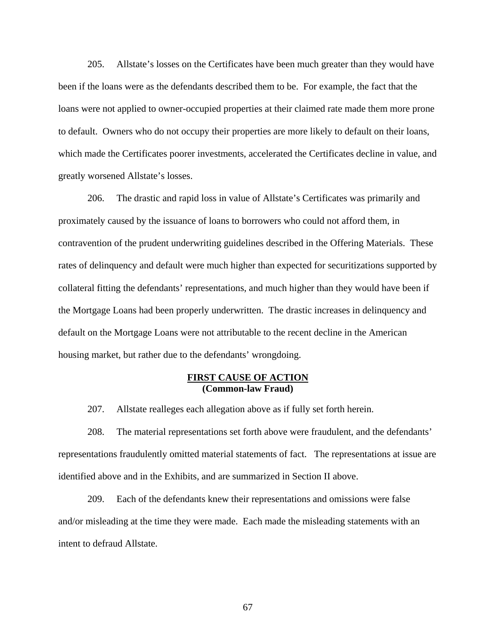205. Allstate's losses on the Certificates have been much greater than they would have been if the loans were as the defendants described them to be. For example, the fact that the loans were not applied to owner-occupied properties at their claimed rate made them more prone to default. Owners who do not occupy their properties are more likely to default on their loans, which made the Certificates poorer investments, accelerated the Certificates decline in value, and greatly worsened Allstate's losses.

206. The drastic and rapid loss in value of Allstate's Certificates was primarily and proximately caused by the issuance of loans to borrowers who could not afford them, in contravention of the prudent underwriting guidelines described in the Offering Materials. These rates of delinquency and default were much higher than expected for securitizations supported by collateral fitting the defendants' representations, and much higher than they would have been if the Mortgage Loans had been properly underwritten. The drastic increases in delinquency and default on the Mortgage Loans were not attributable to the recent decline in the American housing market, but rather due to the defendants' wrongdoing.

## **FIRST CAUSE OF ACTION (Common-law Fraud)**

207. Allstate realleges each allegation above as if fully set forth herein.

208. The material representations set forth above were fraudulent, and the defendants' representations fraudulently omitted material statements of fact. The representations at issue are identified above and in the Exhibits, and are summarized in Section II above.

209. Each of the defendants knew their representations and omissions were false and/or misleading at the time they were made. Each made the misleading statements with an intent to defraud Allstate.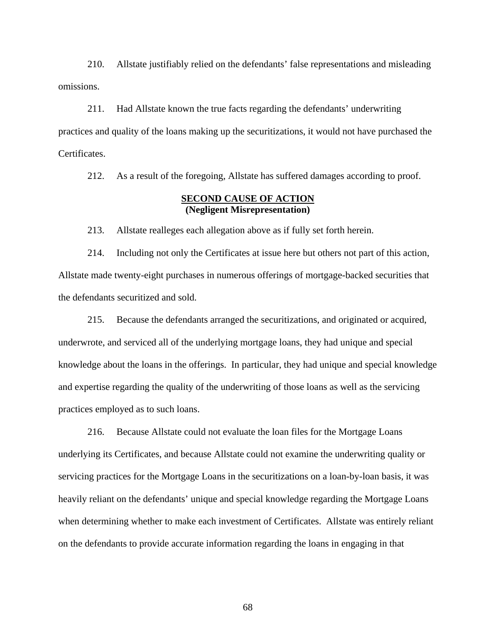210. Allstate justifiably relied on the defendants' false representations and misleading omissions.

211. Had Allstate known the true facts regarding the defendants' underwriting practices and quality of the loans making up the securitizations, it would not have purchased the Certificates.

212. As a result of the foregoing, Allstate has suffered damages according to proof.

## **SECOND CAUSE OF ACTION (Negligent Misrepresentation)**

213. Allstate realleges each allegation above as if fully set forth herein.

214. Including not only the Certificates at issue here but others not part of this action, Allstate made twenty-eight purchases in numerous offerings of mortgage-backed securities that the defendants securitized and sold.

215. Because the defendants arranged the securitizations, and originated or acquired, underwrote, and serviced all of the underlying mortgage loans, they had unique and special knowledge about the loans in the offerings. In particular, they had unique and special knowledge and expertise regarding the quality of the underwriting of those loans as well as the servicing practices employed as to such loans.

216. Because Allstate could not evaluate the loan files for the Mortgage Loans underlying its Certificates, and because Allstate could not examine the underwriting quality or servicing practices for the Mortgage Loans in the securitizations on a loan-by-loan basis, it was heavily reliant on the defendants' unique and special knowledge regarding the Mortgage Loans when determining whether to make each investment of Certificates. Allstate was entirely reliant on the defendants to provide accurate information regarding the loans in engaging in that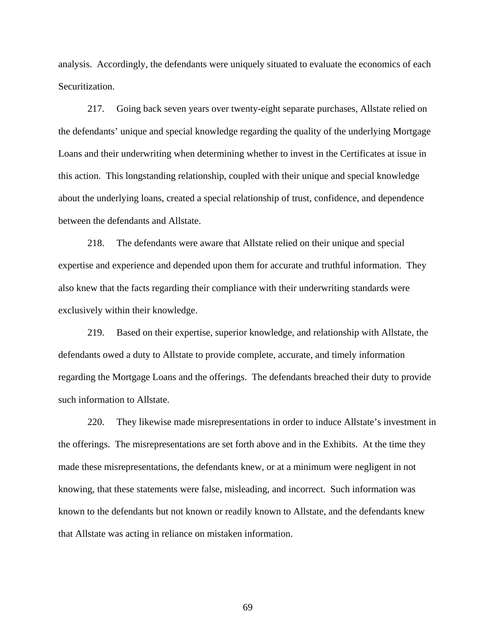analysis. Accordingly, the defendants were uniquely situated to evaluate the economics of each Securitization.

217. Going back seven years over twenty-eight separate purchases, Allstate relied on the defendants' unique and special knowledge regarding the quality of the underlying Mortgage Loans and their underwriting when determining whether to invest in the Certificates at issue in this action. This longstanding relationship, coupled with their unique and special knowledge about the underlying loans, created a special relationship of trust, confidence, and dependence between the defendants and Allstate.

218. The defendants were aware that Allstate relied on their unique and special expertise and experience and depended upon them for accurate and truthful information. They also knew that the facts regarding their compliance with their underwriting standards were exclusively within their knowledge.

219. Based on their expertise, superior knowledge, and relationship with Allstate, the defendants owed a duty to Allstate to provide complete, accurate, and timely information regarding the Mortgage Loans and the offerings. The defendants breached their duty to provide such information to Allstate.

220. They likewise made misrepresentations in order to induce Allstate's investment in the offerings. The misrepresentations are set forth above and in the Exhibits. At the time they made these misrepresentations, the defendants knew, or at a minimum were negligent in not knowing, that these statements were false, misleading, and incorrect. Such information was known to the defendants but not known or readily known to Allstate, and the defendants knew that Allstate was acting in reliance on mistaken information.

69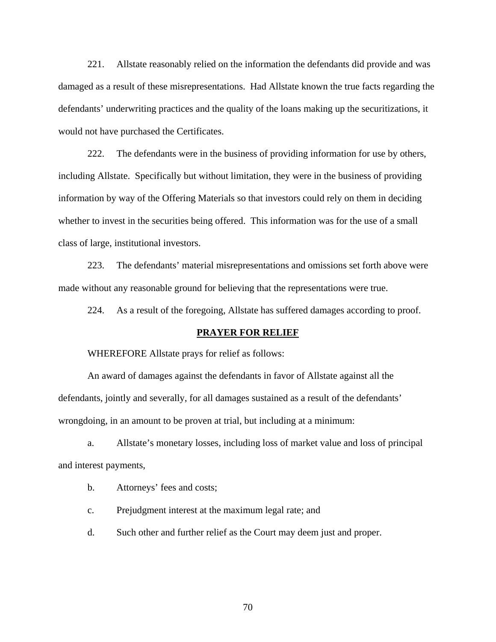221. Allstate reasonably relied on the information the defendants did provide and was damaged as a result of these misrepresentations. Had Allstate known the true facts regarding the defendants' underwriting practices and the quality of the loans making up the securitizations, it would not have purchased the Certificates.

222. The defendants were in the business of providing information for use by others, including Allstate. Specifically but without limitation, they were in the business of providing information by way of the Offering Materials so that investors could rely on them in deciding whether to invest in the securities being offered. This information was for the use of a small class of large, institutional investors.

223. The defendants' material misrepresentations and omissions set forth above were made without any reasonable ground for believing that the representations were true.

224. As a result of the foregoing, Allstate has suffered damages according to proof.

## **PRAYER FOR RELIEF**

WHEREFORE Allstate prays for relief as follows:

An award of damages against the defendants in favor of Allstate against all the defendants, jointly and severally, for all damages sustained as a result of the defendants' wrongdoing, in an amount to be proven at trial, but including at a minimum:

a. Allstate's monetary losses, including loss of market value and loss of principal and interest payments,

b. Attorneys' fees and costs;

c. Prejudgment interest at the maximum legal rate; and

d. Such other and further relief as the Court may deem just and proper.

70